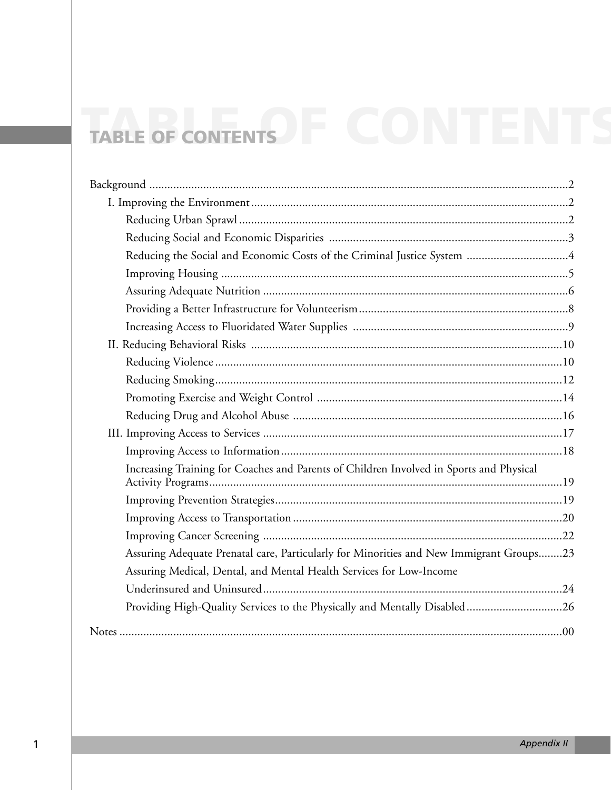# TABLE OF CONTENTS

| Increasing Training for Coaches and Parents of Children Involved in Sports and Physical |  |
|-----------------------------------------------------------------------------------------|--|
|                                                                                         |  |
|                                                                                         |  |
|                                                                                         |  |
| Assuring Adequate Prenatal care, Particularly for Minorities and New Immigrant Groups23 |  |
| Assuring Medical, Dental, and Mental Health Services for Low-Income                     |  |
|                                                                                         |  |
| Providing High-Quality Services to the Physically and Mentally Disabled26               |  |
|                                                                                         |  |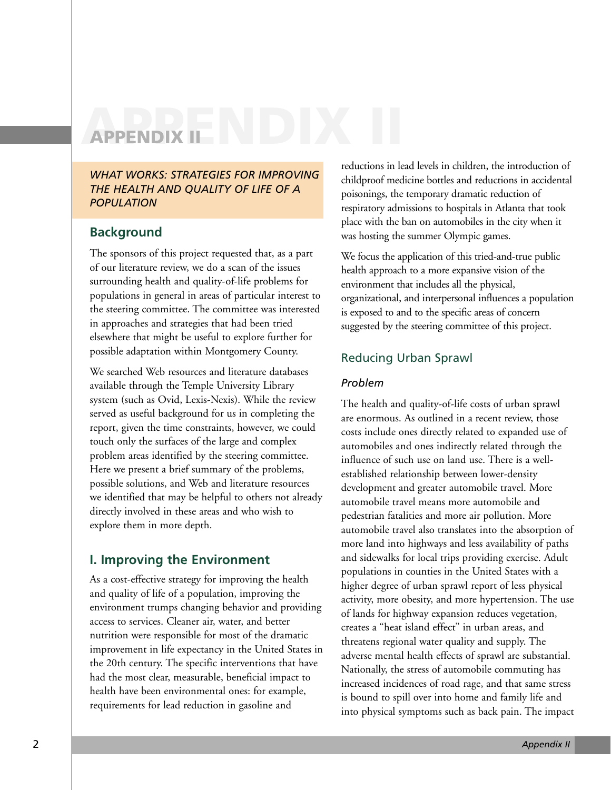# **APPENDIX II APPENDIX II**

*WHAT WORKS: STRATEGIES FOR IMPROVING THE HEALTH AND QUALITY OF LIFE OF A POPULATION*

# **Background**

The sponsors of this project requested that, as a part of our literature review, we do a scan of the issues surrounding health and quality-of-life problems for populations in general in areas of particular interest to the steering committee. The committee was interested in approaches and strategies that had been tried elsewhere that might be useful to explore further for possible adaptation within Montgomery County.

We searched Web resources and literature databases available through the Temple University Library system (such as Ovid, Lexis-Nexis). While the review served as useful background for us in completing the report, given the time constraints, however, we could touch only the surfaces of the large and complex problem areas identified by the steering committee. Here we present a brief summary of the problems, possible solutions, and Web and literature resources we identified that may be helpful to others not already directly involved in these areas and who wish to explore them in more depth.

# **I. Improving the Environment**

As a cost-effective strategy for improving the health and quality of life of a population, improving the environment trumps changing behavior and providing access to services. Cleaner air, water, and better nutrition were responsible for most of the dramatic improvement in life expectancy in the United States in the 20th century. The specific interventions that have had the most clear, measurable, beneficial impact to health have been environmental ones: for example, requirements for lead reduction in gasoline and

reductions in lead levels in children, the introduction of childproof medicine bottles and reductions in accidental poisonings, the temporary dramatic reduction of respiratory admissions to hospitals in Atlanta that took place with the ban on automobiles in the city when it was hosting the summer Olympic games.

We focus the application of this tried-and-true public health approach to a more expansive vision of the environment that includes all the physical, organizational, and interpersonal influences a population is exposed to and to the specific areas of concern suggested by the steering committee of this project.

# Reducing Urban Sprawl

#### *Problem*

The health and quality-of-life costs of urban sprawl are enormous. As outlined in a recent review, those costs include ones directly related to expanded use of automobiles and ones indirectly related through the influence of such use on land use. There is a wellestablished relationship between lower-density development and greater automobile travel. More automobile travel means more automobile and pedestrian fatalities and more air pollution. More automobile travel also translates into the absorption of more land into highways and less availability of paths and sidewalks for local trips providing exercise. Adult populations in counties in the United States with a higher degree of urban sprawl report of less physical activity, more obesity, and more hypertension. The use of lands for highway expansion reduces vegetation, creates a "heat island effect" in urban areas, and threatens regional water quality and supply. The adverse mental health effects of sprawl are substantial. Nationally, the stress of automobile commuting has increased incidences of road rage, and that same stress is bound to spill over into home and family life and into physical symptoms such as back pain. The impact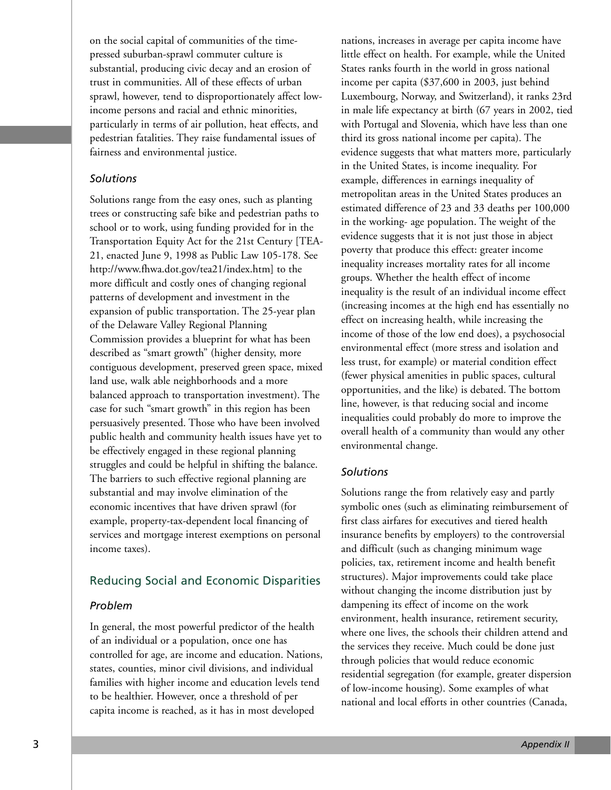on the social capital of communities of the timepressed suburban-sprawl commuter culture is substantial, producing civic decay and an erosion of trust in communities. All of these effects of urban sprawl, however, tend to disproportionately affect lowincome persons and racial and ethnic minorities, particularly in terms of air pollution, heat effects, and pedestrian fatalities. They raise fundamental issues of fairness and environmental justice.

#### *Solutions*

Solutions range from the easy ones, such as planting trees or constructing safe bike and pedestrian paths to school or to work, using funding provided for in the Transportation Equity Act for the 21st Century [TEA-21, enacted June 9, 1998 as Public Law 105-178. See http://www.fhwa.dot.gov/tea21/index.htm] to the more difficult and costly ones of changing regional patterns of development and investment in the expansion of public transportation. The 25-year plan of the Delaware Valley Regional Planning Commission provides a blueprint for what has been described as "smart growth" (higher density, more contiguous development, preserved green space, mixed land use, walk able neighborhoods and a more balanced approach to transportation investment). The case for such "smart growth" in this region has been persuasively presented. Those who have been involved public health and community health issues have yet to be effectively engaged in these regional planning struggles and could be helpful in shifting the balance. The barriers to such effective regional planning are substantial and may involve elimination of the economic incentives that have driven sprawl (for example, property-tax-dependent local financing of services and mortgage interest exemptions on personal income taxes).

# Reducing Social and Economic Disparities

# *Problem*

In general, the most powerful predictor of the health of an individual or a population, once one has controlled for age, are income and education. Nations, states, counties, minor civil divisions, and individual families with higher income and education levels tend to be healthier. However, once a threshold of per capita income is reached, as it has in most developed

nations, increases in average per capita income have little effect on health. For example, while the United States ranks fourth in the world in gross national income per capita (\$37,600 in 2003, just behind Luxembourg, Norway, and Switzerland), it ranks 23rd in male life expectancy at birth (67 years in 2002, tied with Portugal and Slovenia, which have less than one third its gross national income per capita). The evidence suggests that what matters more, particularly in the United States, is income inequality. For example, differences in earnings inequality of metropolitan areas in the United States produces an estimated difference of 23 and 33 deaths per 100,000 in the working- age population. The weight of the evidence suggests that it is not just those in abject poverty that produce this effect: greater income inequality increases mortality rates for all income groups. Whether the health effect of income inequality is the result of an individual income effect (increasing incomes at the high end has essentially no effect on increasing health, while increasing the income of those of the low end does), a psychosocial environmental effect (more stress and isolation and less trust, for example) or material condition effect (fewer physical amenities in public spaces, cultural opportunities, and the like) is debated. The bottom line, however, is that reducing social and income inequalities could probably do more to improve the overall health of a community than would any other environmental change.

# *Solutions*

Solutions range the from relatively easy and partly symbolic ones (such as eliminating reimbursement of first class airfares for executives and tiered health insurance benefits by employers) to the controversial and difficult (such as changing minimum wage policies, tax, retirement income and health benefit structures). Major improvements could take place without changing the income distribution just by dampening its effect of income on the work environment, health insurance, retirement security, where one lives, the schools their children attend and the services they receive. Much could be done just through policies that would reduce economic residential segregation (for example, greater dispersion of low-income housing). Some examples of what national and local efforts in other countries (Canada,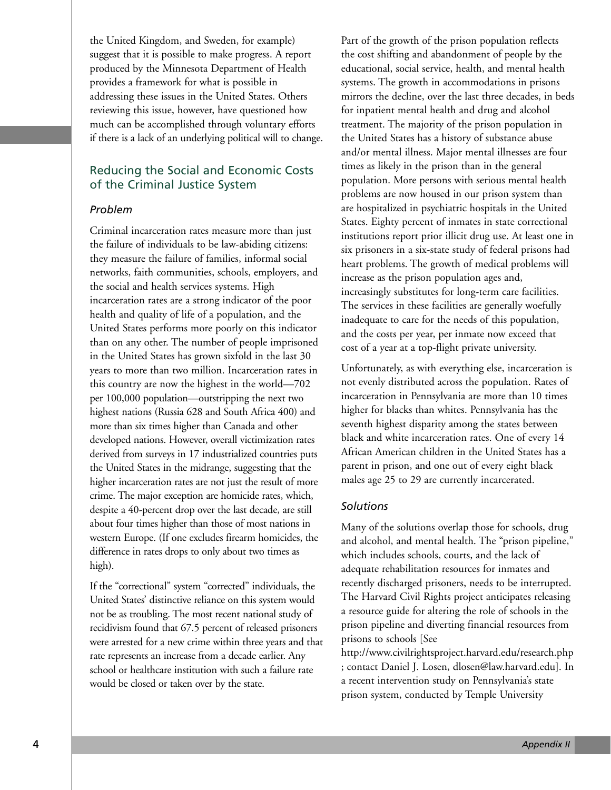the United Kingdom, and Sweden, for example) suggest that it is possible to make progress. A report produced by the Minnesota Department of Health provides a framework for what is possible in addressing these issues in the United States. Others reviewing this issue, however, have questioned how much can be accomplished through voluntary efforts if there is a lack of an underlying political will to change.

# Reducing the Social and Economic Costs of the Criminal Justice System

#### *Problem*

Criminal incarceration rates measure more than just the failure of individuals to be law-abiding citizens: they measure the failure of families, informal social networks, faith communities, schools, employers, and the social and health services systems. High incarceration rates are a strong indicator of the poor health and quality of life of a population, and the United States performs more poorly on this indicator than on any other. The number of people imprisoned in the United States has grown sixfold in the last 30 years to more than two million. Incarceration rates in this country are now the highest in the world—702 per 100,000 population—outstripping the next two highest nations (Russia 628 and South Africa 400) and more than six times higher than Canada and other developed nations. However, overall victimization rates derived from surveys in 17 industrialized countries puts the United States in the midrange, suggesting that the higher incarceration rates are not just the result of more crime. The major exception are homicide rates, which, despite a 40-percent drop over the last decade, are still about four times higher than those of most nations in western Europe. (If one excludes firearm homicides, the difference in rates drops to only about two times as high).

If the "correctional" system "corrected" individuals, the United States' distinctive reliance on this system would not be as troubling. The most recent national study of recidivism found that 67.5 percent of released prisoners were arrested for a new crime within three years and that rate represents an increase from a decade earlier. Any school or healthcare institution with such a failure rate would be closed or taken over by the state.

Part of the growth of the prison population reflects the cost shifting and abandonment of people by the educational, social service, health, and mental health systems. The growth in accommodations in prisons mirrors the decline, over the last three decades, in beds for inpatient mental health and drug and alcohol treatment. The majority of the prison population in the United States has a history of substance abuse and/or mental illness. Major mental illnesses are four times as likely in the prison than in the general population. More persons with serious mental health problems are now housed in our prison system than are hospitalized in psychiatric hospitals in the United States. Eighty percent of inmates in state correctional institutions report prior illicit drug use. At least one in six prisoners in a six-state study of federal prisons had heart problems. The growth of medical problems will increase as the prison population ages and, increasingly substitutes for long-term care facilities. The services in these facilities are generally woefully inadequate to care for the needs of this population, and the costs per year, per inmate now exceed that cost of a year at a top-flight private university.

Unfortunately, as with everything else, incarceration is not evenly distributed across the population. Rates of incarceration in Pennsylvania are more than 10 times higher for blacks than whites. Pennsylvania has the seventh highest disparity among the states between black and white incarceration rates. One of every 14 African American children in the United States has a parent in prison, and one out of every eight black males age 25 to 29 are currently incarcerated.

#### *Solutions*

Many of the solutions overlap those for schools, drug and alcohol, and mental health. The "prison pipeline," which includes schools, courts, and the lack of adequate rehabilitation resources for inmates and recently discharged prisoners, needs to be interrupted. The Harvard Civil Rights project anticipates releasing a resource guide for altering the role of schools in the prison pipeline and diverting financial resources from prisons to schools [See

http://www.civilrightsproject.harvard.edu/research.php ; contact Daniel J. Losen, dlosen@law.harvard.edu]. In a recent intervention study on Pennsylvania's state prison system, conducted by Temple University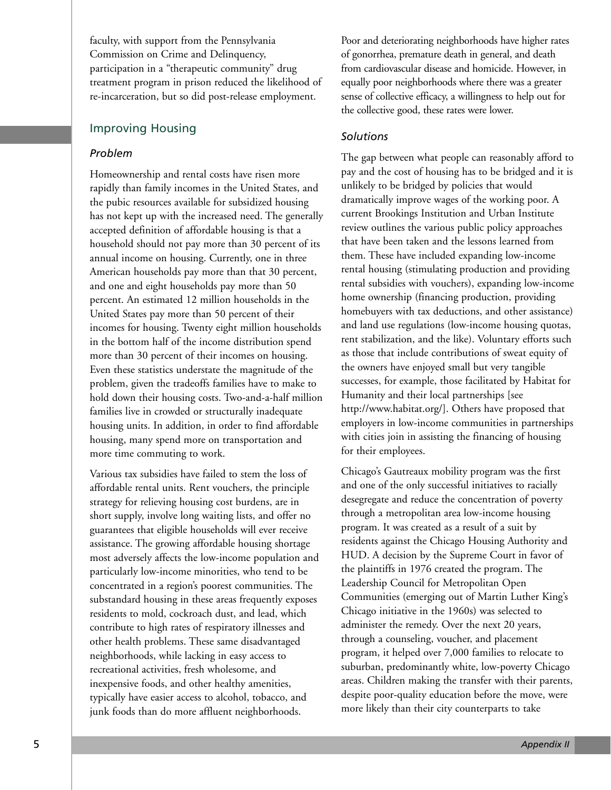faculty, with support from the Pennsylvania Commission on Crime and Delinquency, participation in a "therapeutic community" drug treatment program in prison reduced the likelihood of re-incarceration, but so did post-release employment.

# Improving Housing

#### *Problem*

Homeownership and rental costs have risen more rapidly than family incomes in the United States, and the pubic resources available for subsidized housing has not kept up with the increased need. The generally accepted definition of affordable housing is that a household should not pay more than 30 percent of its annual income on housing. Currently, one in three American households pay more than that 30 percent, and one and eight households pay more than 50 percent. An estimated 12 million households in the United States pay more than 50 percent of their incomes for housing. Twenty eight million households in the bottom half of the income distribution spend more than 30 percent of their incomes on housing. Even these statistics understate the magnitude of the problem, given the tradeoffs families have to make to hold down their housing costs. Two-and-a-half million families live in crowded or structurally inadequate housing units. In addition, in order to find affordable housing, many spend more on transportation and more time commuting to work.

Various tax subsidies have failed to stem the loss of affordable rental units. Rent vouchers, the principle strategy for relieving housing cost burdens, are in short supply, involve long waiting lists, and offer no guarantees that eligible households will ever receive assistance. The growing affordable housing shortage most adversely affects the low-income population and particularly low-income minorities, who tend to be concentrated in a region's poorest communities. The substandard housing in these areas frequently exposes residents to mold, cockroach dust, and lead, which contribute to high rates of respiratory illnesses and other health problems. These same disadvantaged neighborhoods, while lacking in easy access to recreational activities, fresh wholesome, and inexpensive foods, and other healthy amenities, typically have easier access to alcohol, tobacco, and junk foods than do more affluent neighborhoods.

Poor and deteriorating neighborhoods have higher rates of gonorrhea, premature death in general, and death from cardiovascular disease and homicide. However, in equally poor neighborhoods where there was a greater sense of collective efficacy, a willingness to help out for the collective good, these rates were lower.

#### *Solutions*

The gap between what people can reasonably afford to pay and the cost of housing has to be bridged and it is unlikely to be bridged by policies that would dramatically improve wages of the working poor. A current Brookings Institution and Urban Institute review outlines the various public policy approaches that have been taken and the lessons learned from them. These have included expanding low-income rental housing (stimulating production and providing rental subsidies with vouchers), expanding low-income home ownership (financing production, providing homebuyers with tax deductions, and other assistance) and land use regulations (low-income housing quotas, rent stabilization, and the like). Voluntary efforts such as those that include contributions of sweat equity of the owners have enjoyed small but very tangible successes, for example, those facilitated by Habitat for Humanity and their local partnerships [see http://www.habitat.org/]. Others have proposed that employers in low-income communities in partnerships with cities join in assisting the financing of housing for their employees.

Chicago's Gautreaux mobility program was the first and one of the only successful initiatives to racially desegregate and reduce the concentration of poverty through a metropolitan area low-income housing program. It was created as a result of a suit by residents against the Chicago Housing Authority and HUD. A decision by the Supreme Court in favor of the plaintiffs in 1976 created the program. The Leadership Council for Metropolitan Open Communities (emerging out of Martin Luther King's Chicago initiative in the 1960s) was selected to administer the remedy. Over the next 20 years, through a counseling, voucher, and placement program, it helped over 7,000 families to relocate to suburban, predominantly white, low-poverty Chicago areas. Children making the transfer with their parents, despite poor-quality education before the move, were more likely than their city counterparts to take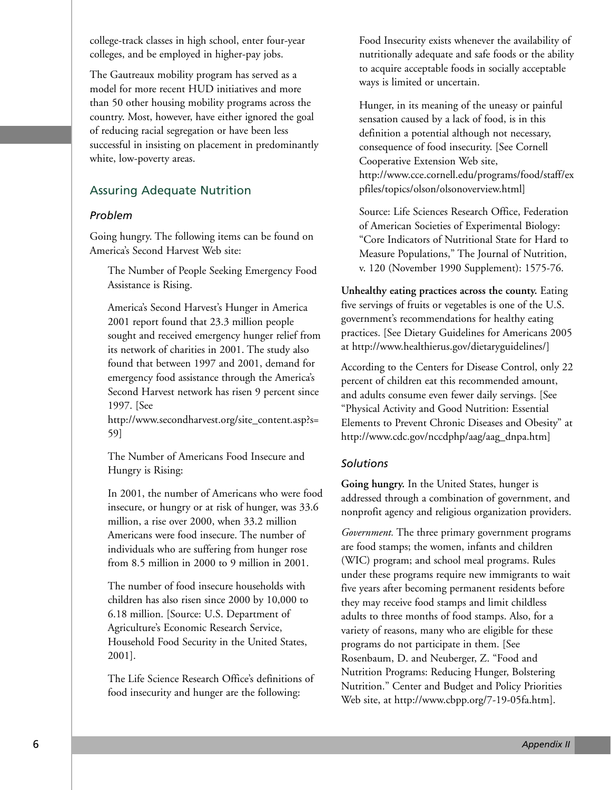college-track classes in high school, enter four-year colleges, and be employed in higher-pay jobs.

The Gautreaux mobility program has served as a model for more recent HUD initiatives and more than 50 other housing mobility programs across the country. Most, however, have either ignored the goal of reducing racial segregation or have been less successful in insisting on placement in predominantly white, low-poverty areas.

# Assuring Adequate Nutrition

#### *Problem*

Going hungry. The following items can be found on America's Second Harvest Web site:

The Number of People Seeking Emergency Food Assistance is Rising.

America's Second Harvest's Hunger in America 2001 report found that 23.3 million people sought and received emergency hunger relief from its network of charities in 2001. The study also found that between 1997 and 2001, demand for emergency food assistance through the America's Second Harvest network has risen 9 percent since 1997. [See

http://www.secondharvest.org/site\_content.asp?s= 59]

The Number of Americans Food Insecure and Hungry is Rising:

In 2001, the number of Americans who were food insecure, or hungry or at risk of hunger, was 33.6 million, a rise over 2000, when 33.2 million Americans were food insecure. The number of individuals who are suffering from hunger rose from 8.5 million in 2000 to 9 million in 2001.

The number of food insecure households with children has also risen since 2000 by 10,000 to 6.18 million. [Source: U.S. Department of Agriculture's Economic Research Service, Household Food Security in the United States, 2001].

The Life Science Research Office's definitions of food insecurity and hunger are the following:

Food Insecurity exists whenever the availability of nutritionally adequate and safe foods or the ability to acquire acceptable foods in socially acceptable ways is limited or uncertain.

Hunger, in its meaning of the uneasy or painful sensation caused by a lack of food, is in this definition a potential although not necessary, consequence of food insecurity. [See Cornell Cooperative Extension Web site, http://www.cce.cornell.edu/programs/food/staff/ex pfiles/topics/olson/olsonoverview.html]

Source: Life Sciences Research Office, Federation of American Societies of Experimental Biology: "Core Indicators of Nutritional State for Hard to Measure Populations," The Journal of Nutrition, v. 120 (November 1990 Supplement): 1575-76.

**Unhealthy eating practices across the county.** Eating five servings of fruits or vegetables is one of the U.S. government's recommendations for healthy eating practices. [See Dietary Guidelines for Americans 2005 at http://www.healthierus.gov/dietaryguidelines/]

According to the Centers for Disease Control, only 22 percent of children eat this recommended amount, and adults consume even fewer daily servings. [See "Physical Activity and Good Nutrition: Essential Elements to Prevent Chronic Diseases and Obesity" at http://www.cdc.gov/nccdphp/aag/aag\_dnpa.htm]

#### *Solutions*

**Going hungry.** In the United States, hunger is addressed through a combination of government, and nonprofit agency and religious organization providers.

*Government.* The three primary government programs are food stamps; the women, infants and children (WIC) program; and school meal programs. Rules under these programs require new immigrants to wait five years after becoming permanent residents before they may receive food stamps and limit childless adults to three months of food stamps. Also, for a variety of reasons, many who are eligible for these programs do not participate in them. [See Rosenbaum, D. and Neuberger, Z. "Food and Nutrition Programs: Reducing Hunger, Bolstering Nutrition." Center and Budget and Policy Priorities Web site, at http://www.cbpp.org/7-19-05fa.htm].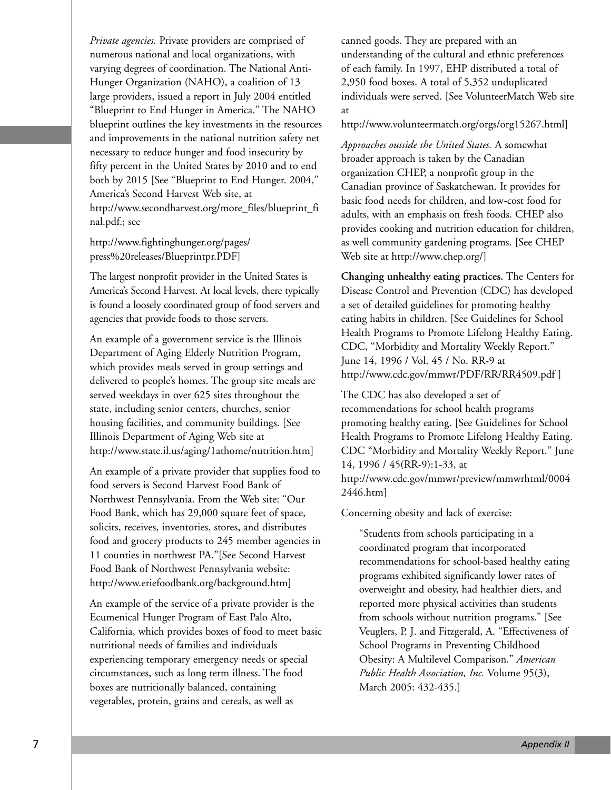*Private agencies.* Private providers are comprised of numerous national and local organizations, with varying degrees of coordination. The National Anti-Hunger Organization (NAHO), a coalition of 13 large providers, issued a report in July 2004 entitled "Blueprint to End Hunger in America." The NAHO blueprint outlines the key investments in the resources and improvements in the national nutrition safety net necessary to reduce hunger and food insecurity by fifty percent in the United States by 2010 and to end both by 2015 [See "Blueprint to End Hunger. 2004," America's Second Harvest Web site, at http://www.secondharvest.org/more\_files/blueprint\_fi nal.pdf.; see

http://www.fightinghunger.org/pages/ press%20releases/Blueprintpr.PDF]

The largest nonprofit provider in the United States is America's Second Harvest. At local levels, there typically is found a loosely coordinated group of food servers and agencies that provide foods to those servers.

An example of a government service is the Illinois Department of Aging Elderly Nutrition Program, which provides meals served in group settings and delivered to people's homes. The group site meals are served weekdays in over 625 sites throughout the state, including senior centers, churches, senior housing facilities, and community buildings. [See Illinois Department of Aging Web site at http://www.state.il.us/aging/1athome/nutrition.htm]

An example of a private provider that supplies food to food servers is Second Harvest Food Bank of Northwest Pennsylvania. From the Web site: "Our Food Bank, which has 29,000 square feet of space, solicits, receives, inventories, stores, and distributes food and grocery products to 245 member agencies in 11 counties in northwest PA."[See Second Harvest Food Bank of Northwest Pennsylvania website: http://www.eriefoodbank.org/background.htm]

An example of the service of a private provider is the Ecumenical Hunger Program of East Palo Alto, California, which provides boxes of food to meet basic nutritional needs of families and individuals experiencing temporary emergency needs or special circumstances, such as long term illness. The food boxes are nutritionally balanced, containing vegetables, protein, grains and cereals, as well as

canned goods. They are prepared with an understanding of the cultural and ethnic preferences of each family. In 1997, EHP distributed a total of 2,950 food boxes. A total of 5,352 unduplicated individuals were served. [See VolunteerMatch Web site at

http://www.volunteermatch.org/orgs/org15267.html]

*Approaches outside the United States.* A somewhat broader approach is taken by the Canadian organization CHEP, a nonprofit group in the Canadian province of Saskatchewan. It provides for basic food needs for children, and low-cost food for adults, with an emphasis on fresh foods. CHEP also provides cooking and nutrition education for children, as well community gardening programs. [See CHEP Web site at http://www.chep.org/]

**Changing unhealthy eating practices.** The Centers for Disease Control and Prevention (CDC) has developed a set of detailed guidelines for promoting healthy eating habits in children. [See Guidelines for School Health Programs to Promote Lifelong Healthy Eating. CDC, "Morbidity and Mortality Weekly Report." June 14, 1996 / Vol. 45 / No. RR-9 at http://www.cdc.gov/mmwr/PDF/RR/RR4509.pdf ]

The CDC has also developed a set of recommendations for school health programs promoting healthy eating. [See Guidelines for School Health Programs to Promote Lifelong Healthy Eating. CDC "Morbidity and Mortality Weekly Report." June 14, 1996 / 45(RR-9):1-33, at http://www.cdc.gov/mmwr/preview/mmwrhtml/0004 2446.htm]

Concerning obesity and lack of exercise:

"Students from schools participating in a coordinated program that incorporated recommendations for school-based healthy eating programs exhibited significantly lower rates of overweight and obesity, had healthier diets, and reported more physical activities than students from schools without nutrition programs." [See Veuglers, P. J. and Fitzgerald, A. "Effectiveness of School Programs in Preventing Childhood Obesity: A Multilevel Comparison." *American Public Health Association, Inc.* Volume 95(3), March 2005: 432-435.]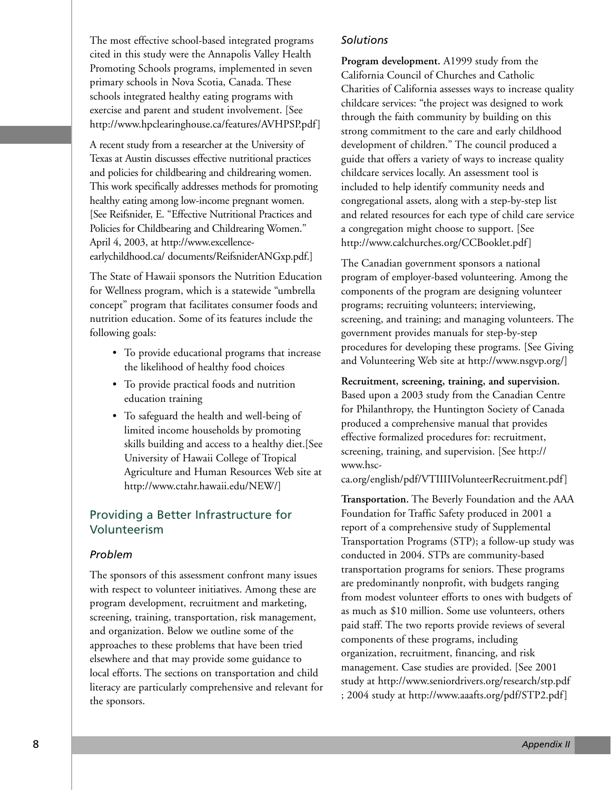The most effective school-based integrated programs cited in this study were the Annapolis Valley Health Promoting Schools programs, implemented in seven primary schools in Nova Scotia, Canada. These schools integrated healthy eating programs with exercise and parent and student involvement. [See http://www.hpclearinghouse.ca/features/AVHPSP.pdf]

A recent study from a researcher at the University of Texas at Austin discusses effective nutritional practices and policies for childbearing and childrearing women. This work specifically addresses methods for promoting healthy eating among low-income pregnant women. [See Reifsnider, E. "Effective Nutritional Practices and Policies for Childbearing and Childrearing Women." April 4, 2003, at http://www.excellenceearlychildhood.ca/ documents/ReifsniderANGxp.pdf.]

The State of Hawaii sponsors the Nutrition Education for Wellness program, which is a statewide "umbrella concept" program that facilitates consumer foods and nutrition education. Some of its features include the following goals:

- To provide educational programs that increase the likelihood of healthy food choices
- To provide practical foods and nutrition education training
- To safeguard the health and well-being of limited income households by promoting skills building and access to a healthy diet.[See University of Hawaii College of Tropical Agriculture and Human Resources Web site at http://www.ctahr.hawaii.edu/NEW/]

# Providing a Better Infrastructure for Volunteerism

#### *Problem*

The sponsors of this assessment confront many issues with respect to volunteer initiatives. Among these are program development, recruitment and marketing, screening, training, transportation, risk management, and organization. Below we outline some of the approaches to these problems that have been tried elsewhere and that may provide some guidance to local efforts. The sections on transportation and child literacy are particularly comprehensive and relevant for the sponsors.

#### *Solutions*

**Program development.** A1999 study from the California Council of Churches and Catholic Charities of California assesses ways to increase quality childcare services: "the project was designed to work through the faith community by building on this strong commitment to the care and early childhood development of children." The council produced a guide that offers a variety of ways to increase quality childcare services locally. An assessment tool is included to help identify community needs and congregational assets, along with a step-by-step list and related resources for each type of child care service a congregation might choose to support. [See http://www.calchurches.org/CCBooklet.pdf]

The Canadian government sponsors a national program of employer-based volunteering. Among the components of the program are designing volunteer programs; recruiting volunteers; interviewing, screening, and training; and managing volunteers. The government provides manuals for step-by-step procedures for developing these programs. [See Giving and Volunteering Web site at http://www.nsgvp.org/]

**Recruitment, screening, training, and supervision.** Based upon a 2003 study from the Canadian Centre for Philanthropy, the Huntington Society of Canada produced a comprehensive manual that provides effective formalized procedures for: recruitment, screening, training, and supervision. [See http:// www.hsc-

ca.org/english/pdf/VTIIIIVolunteerRecruitment.pdf]

**Transportation.** The Beverly Foundation and the AAA Foundation for Traffic Safety produced in 2001 a report of a comprehensive study of Supplemental Transportation Programs (STP); a follow-up study was conducted in 2004. STPs are community-based transportation programs for seniors. These programs are predominantly nonprofit, with budgets ranging from modest volunteer efforts to ones with budgets of as much as \$10 million. Some use volunteers, others paid staff. The two reports provide reviews of several components of these programs, including organization, recruitment, financing, and risk management. Case studies are provided. [See 2001 study at http://www.seniordrivers.org/research/stp.pdf ; 2004 study at http://www.aaafts.org/pdf/STP2.pdf]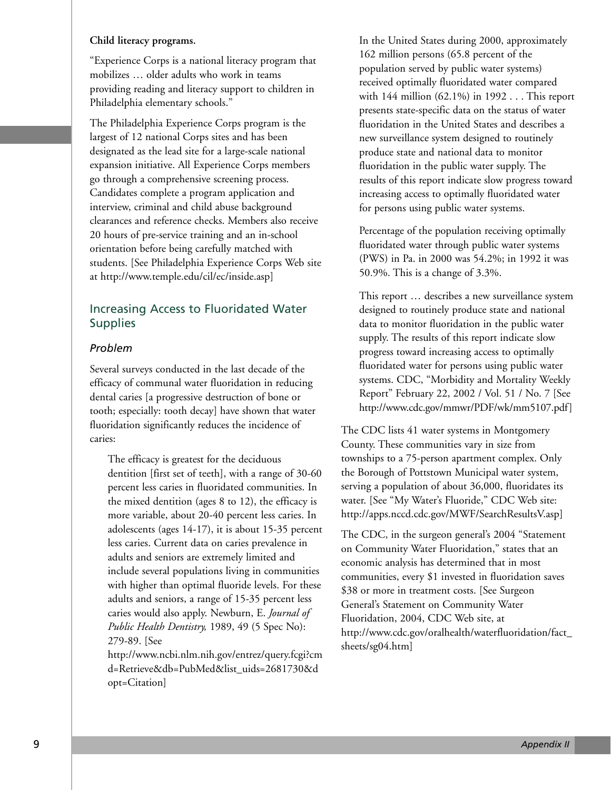#### **Child literacy programs.**

"Experience Corps is a national literacy program that mobilizes … older adults who work in teams providing reading and literacy support to children in Philadelphia elementary schools."

The Philadelphia Experience Corps program is the largest of 12 national Corps sites and has been designated as the lead site for a large-scale national expansion initiative. All Experience Corps members go through a comprehensive screening process. Candidates complete a program application and interview, criminal and child abuse background clearances and reference checks. Members also receive 20 hours of pre-service training and an in-school orientation before being carefully matched with students. [See Philadelphia Experience Corps Web site at http://www.temple.edu/cil/ec/inside.asp]

# Increasing Access to Fluoridated Water **Supplies**

#### *Problem*

Several surveys conducted in the last decade of the efficacy of communal water fluoridation in reducing dental caries [a progressive destruction of bone or tooth; especially: tooth decay] have shown that water fluoridation significantly reduces the incidence of caries:

The efficacy is greatest for the deciduous dentition [first set of teeth], with a range of 30-60 percent less caries in fluoridated communities. In the mixed dentition (ages 8 to 12), the efficacy is more variable, about 20-40 percent less caries. In adolescents (ages 14-17), it is about 15-35 percent less caries. Current data on caries prevalence in adults and seniors are extremely limited and include several populations living in communities with higher than optimal fluoride levels. For these adults and seniors, a range of 15-35 percent less caries would also apply. Newburn, E. *Journal of Public Health Dentistry,* 1989, 49 (5 Spec No): 279-89. [See

http://www.ncbi.nlm.nih.gov/entrez/query.fcgi?cm d=Retrieve&db=PubMed&list\_uids=2681730&d opt=Citation]

In the United States during 2000, approximately 162 million persons (65.8 percent of the population served by public water systems) received optimally fluoridated water compared with 144 million (62.1%) in 1992 . . . This report presents state-specific data on the status of water fluoridation in the United States and describes a new surveillance system designed to routinely produce state and national data to monitor fluoridation in the public water supply. The results of this report indicate slow progress toward increasing access to optimally fluoridated water for persons using public water systems.

Percentage of the population receiving optimally fluoridated water through public water systems (PWS) in Pa. in 2000 was 54.2%; in 1992 it was 50.9%. This is a change of 3.3%.

This report … describes a new surveillance system designed to routinely produce state and national data to monitor fluoridation in the public water supply. The results of this report indicate slow progress toward increasing access to optimally fluoridated water for persons using public water systems. CDC, "Morbidity and Mortality Weekly Report" February 22, 2002 / Vol. 51 / No. 7 [See http://www.cdc.gov/mmwr/PDF/wk/mm5107.pdf]

The CDC lists 41 water systems in Montgomery County. These communities vary in size from townships to a 75-person apartment complex. Only the Borough of Pottstown Municipal water system, serving a population of about 36,000, fluoridates its water. [See "My Water's Fluoride," CDC Web site: http://apps.nccd.cdc.gov/MWF/SearchResultsV.asp]

The CDC, in the surgeon general's 2004 "Statement on Community Water Fluoridation," states that an economic analysis has determined that in most communities, every \$1 invested in fluoridation saves \$38 or more in treatment costs. [See Surgeon General's Statement on Community Water Fluoridation, 2004, CDC Web site, at http://www.cdc.gov/oralhealth/waterfluoridation/fact\_ sheets/sg04.htm]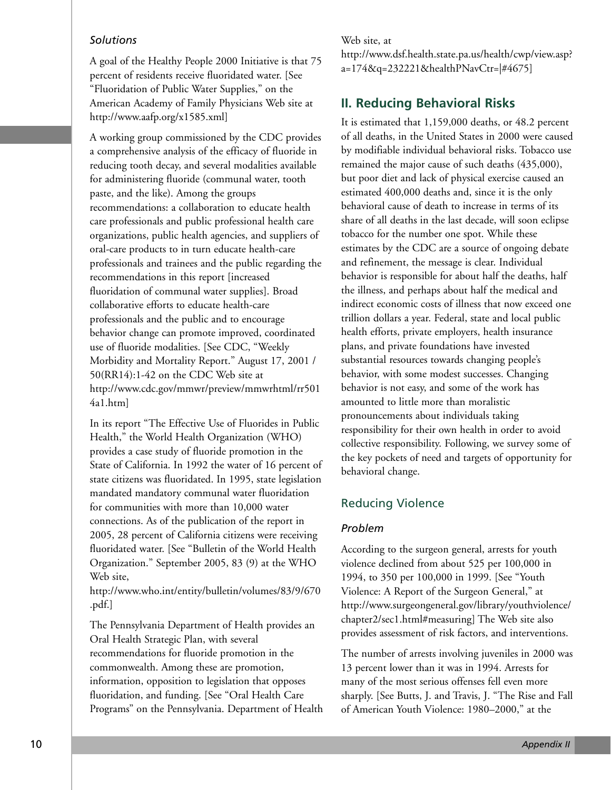#### *Solutions*

A goal of the Healthy People 2000 Initiative is that 75 percent of residents receive fluoridated water. [See "Fluoridation of Public Water Supplies," on the American Academy of Family Physicians Web site at http://www.aafp.org/x1585.xml]

A working group commissioned by the CDC provides a comprehensive analysis of the efficacy of fluoride in reducing tooth decay, and several modalities available for administering fluoride (communal water, tooth paste, and the like). Among the groups recommendations: a collaboration to educate health care professionals and public professional health care organizations, public health agencies, and suppliers of oral-care products to in turn educate health-care professionals and trainees and the public regarding the recommendations in this report [increased fluoridation of communal water supplies]. Broad collaborative efforts to educate health-care professionals and the public and to encourage behavior change can promote improved, coordinated use of fluoride modalities. [See CDC, "Weekly Morbidity and Mortality Report." August 17, 2001 / 50(RR14):1-42 on the CDC Web site at http://www.cdc.gov/mmwr/preview/mmwrhtml/rr501 4a1.htm]

In its report "The Effective Use of Fluorides in Public Health," the World Health Organization (WHO) provides a case study of fluoride promotion in the State of California. In 1992 the water of 16 percent of state citizens was fluoridated. In 1995, state legislation mandated mandatory communal water fluoridation for communities with more than 10,000 water connections. As of the publication of the report in 2005, 28 percent of California citizens were receiving fluoridated water. [See "Bulletin of the World Health Organization." September 2005, 83 (9) at the WHO Web site,

http://www.who.int/entity/bulletin/volumes/83/9/670 .pdf.]

The Pennsylvania Department of Health provides an Oral Health Strategic Plan, with several recommendations for fluoride promotion in the commonwealth. Among these are promotion, information, opposition to legislation that opposes fluoridation, and funding. [See "Oral Health Care Programs" on the Pennsylvania. Department of Health

#### Web site, at

http://www.dsf.health.state.pa.us/health/cwp/view.asp? a=174&q=232221&healthPNavCtr=|#4675]

# **II. Reducing Behavioral Risks**

It is estimated that 1,159,000 deaths, or 48.2 percent of all deaths, in the United States in 2000 were caused by modifiable individual behavioral risks. Tobacco use remained the major cause of such deaths (435,000), but poor diet and lack of physical exercise caused an estimated 400,000 deaths and, since it is the only behavioral cause of death to increase in terms of its share of all deaths in the last decade, will soon eclipse tobacco for the number one spot. While these estimates by the CDC are a source of ongoing debate and refinement, the message is clear. Individual behavior is responsible for about half the deaths, half the illness, and perhaps about half the medical and indirect economic costs of illness that now exceed one trillion dollars a year. Federal, state and local public health efforts, private employers, health insurance plans, and private foundations have invested substantial resources towards changing people's behavior, with some modest successes. Changing behavior is not easy, and some of the work has amounted to little more than moralistic pronouncements about individuals taking responsibility for their own health in order to avoid collective responsibility. Following, we survey some of the key pockets of need and targets of opportunity for behavioral change.

# Reducing Violence

#### *Problem*

According to the surgeon general, arrests for youth violence declined from about 525 per 100,000 in 1994, to 350 per 100,000 in 1999. [See "Youth Violence: A Report of the Surgeon General," at http://www.surgeongeneral.gov/library/youthviolence/ chapter2/sec1.html#measuring] The Web site also provides assessment of risk factors, and interventions.

The number of arrests involving juveniles in 2000 was 13 percent lower than it was in 1994. Arrests for many of the most serious offenses fell even more sharply. [See Butts, J. and Travis, J. "The Rise and Fall of American Youth Violence: 1980–2000," at the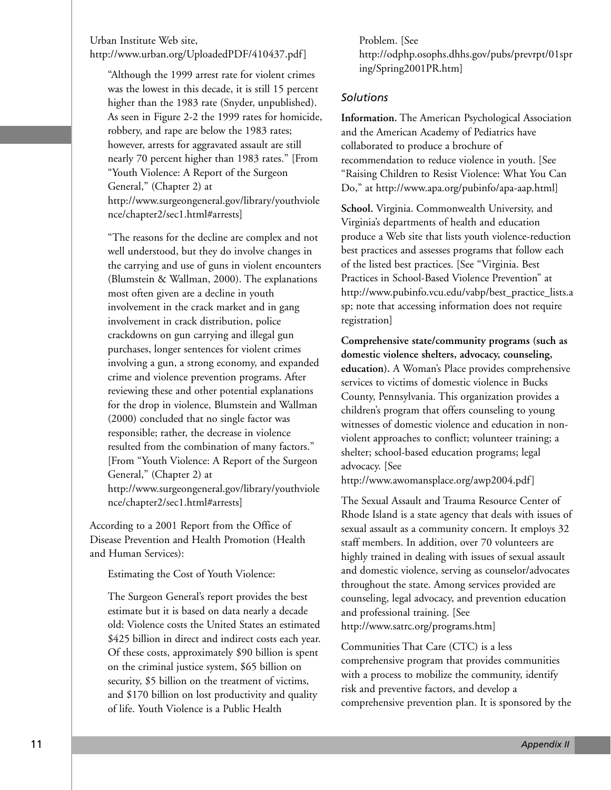#### Urban Institute Web site, http://www.urban.org/UploadedPDF/410437.pdf]

"Although the 1999 arrest rate for violent crimes was the lowest in this decade, it is still 15 percent higher than the 1983 rate (Snyder, unpublished). As seen in Figure 2-2 the 1999 rates for homicide, robbery, and rape are below the 1983 rates; however, arrests for aggravated assault are still nearly 70 percent higher than 1983 rates." [From "Youth Violence: A Report of the Surgeon General," (Chapter 2) at http://www.surgeongeneral.gov/library/youthviole nce/chapter2/sec1.html#arrests]

"The reasons for the decline are complex and not well understood, but they do involve changes in the carrying and use of guns in violent encounters (Blumstein & Wallman, 2000). The explanations most often given are a decline in youth involvement in the crack market and in gang involvement in crack distribution, police crackdowns on gun carrying and illegal gun purchases, longer sentences for violent crimes involving a gun, a strong economy, and expanded crime and violence prevention programs. After reviewing these and other potential explanations for the drop in violence, Blumstein and Wallman (2000) concluded that no single factor was responsible; rather, the decrease in violence resulted from the combination of many factors." [From "Youth Violence: A Report of the Surgeon General," (Chapter 2) at http://www.surgeongeneral.gov/library/youthviole nce/chapter2/sec1.html#arrests]

According to a 2001 Report from the Office of Disease Prevention and Health Promotion (Health and Human Services):

Estimating the Cost of Youth Violence:

The Surgeon General's report provides the best estimate but it is based on data nearly a decade old: Violence costs the United States an estimated \$425 billion in direct and indirect costs each year. Of these costs, approximately \$90 billion is spent on the criminal justice system, \$65 billion on security, \$5 billion on the treatment of victims, and \$170 billion on lost productivity and quality of life. Youth Violence is a Public Health

Problem. [See http://odphp.osophs.dhhs.gov/pubs/prevrpt/01spr ing/Spring2001PR.htm]

#### *Solutions*

**Information.** The American Psychological Association and the American Academy of Pediatrics have collaborated to produce a brochure of recommendation to reduce violence in youth. [See "Raising Children to Resist Violence: What You Can Do," at http://www.apa.org/pubinfo/apa-aap.html]

**School.** Virginia. Commonwealth University, and Virginia's departments of health and education produce a Web site that lists youth violence-reduction best practices and assesses programs that follow each of the listed best practices. [See "Virginia. Best Practices in School-Based Violence Prevention" at http://www.pubinfo.vcu.edu/vabp/best\_practice\_lists.a sp; note that accessing information does not require registration]

**Comprehensive state/community programs (such as domestic violence shelters, advocacy, counseling, education).** A Woman's Place provides comprehensive services to victims of domestic violence in Bucks County, Pennsylvania. This organization provides a children's program that offers counseling to young witnesses of domestic violence and education in nonviolent approaches to conflict; volunteer training; a shelter; school-based education programs; legal advocacy. [See

http://www.awomansplace.org/awp2004.pdf]

The Sexual Assault and Trauma Resource Center of Rhode Island is a state agency that deals with issues of sexual assault as a community concern. It employs 32 staff members. In addition, over 70 volunteers are highly trained in dealing with issues of sexual assault and domestic violence, serving as counselor/advocates throughout the state. Among services provided are counseling, legal advocacy, and prevention education and professional training. [See http://www.satrc.org/programs.htm]

Communities That Care (CTC) is a less comprehensive program that provides communities with a process to mobilize the community, identify risk and preventive factors, and develop a comprehensive prevention plan. It is sponsored by the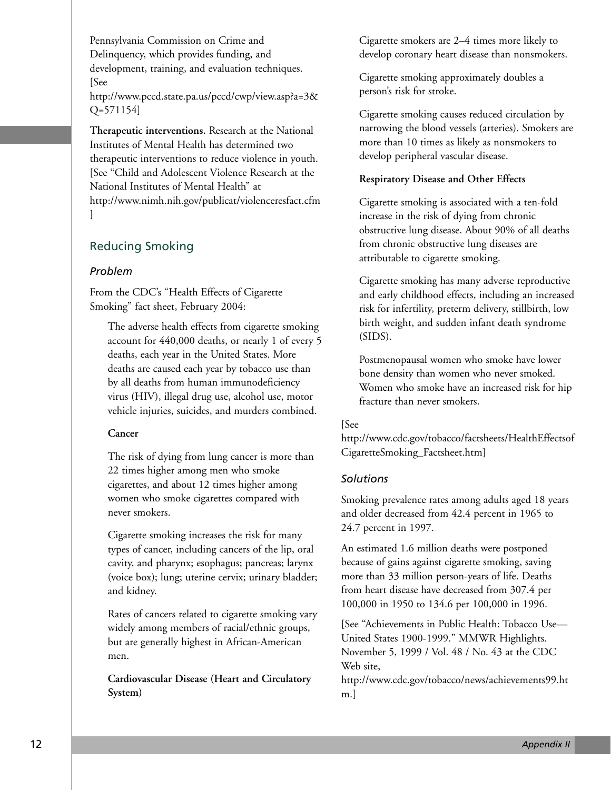Pennsylvania Commission on Crime and Delinquency, which provides funding, and development, training, and evaluation techniques. [See

http://www.pccd.state.pa.us/pccd/cwp/view.asp?a=3& Q=571154]

**Therapeutic interventions.** Research at the National Institutes of Mental Health has determined two therapeutic interventions to reduce violence in youth. [See "Child and Adolescent Violence Research at the National Institutes of Mental Health" at http://www.nimh.nih.gov/publicat/violenceresfact.cfm ]

# Reducing Smoking

#### *Problem*

From the CDC's "Health Effects of Cigarette Smoking" fact sheet, February 2004:

The adverse health effects from cigarette smoking account for 440,000 deaths, or nearly 1 of every 5 deaths, each year in the United States. More deaths are caused each year by tobacco use than by all deaths from human immunodeficiency virus (HIV), illegal drug use, alcohol use, motor vehicle injuries, suicides, and murders combined.

#### **Cancer**

The risk of dying from lung cancer is more than 22 times higher among men who smoke cigarettes, and about 12 times higher among women who smoke cigarettes compared with never smokers.

Cigarette smoking increases the risk for many types of cancer, including cancers of the lip, oral cavity, and pharynx; esophagus; pancreas; larynx (voice box); lung; uterine cervix; urinary bladder; and kidney.

Rates of cancers related to cigarette smoking vary widely among members of racial/ethnic groups, but are generally highest in African-American men.

**Cardiovascular Disease (Heart and Circulatory System)**

Cigarette smokers are 2–4 times more likely to develop coronary heart disease than nonsmokers.

Cigarette smoking approximately doubles a person's risk for stroke.

Cigarette smoking causes reduced circulation by narrowing the blood vessels (arteries). Smokers are more than 10 times as likely as nonsmokers to develop peripheral vascular disease.

#### **Respiratory Disease and Other Effects**

Cigarette smoking is associated with a ten-fold increase in the risk of dying from chronic obstructive lung disease. About 90% of all deaths from chronic obstructive lung diseases are attributable to cigarette smoking.

Cigarette smoking has many adverse reproductive and early childhood effects, including an increased risk for infertility, preterm delivery, stillbirth, low birth weight, and sudden infant death syndrome (SIDS).

Postmenopausal women who smoke have lower bone density than women who never smoked. Women who smoke have an increased risk for hip fracture than never smokers.

#### [See

http://www.cdc.gov/tobacco/factsheets/HealthEffectsof CigaretteSmoking\_Factsheet.htm]

#### *Solutions*

Smoking prevalence rates among adults aged 18 years and older decreased from 42.4 percent in 1965 to 24.7 percent in 1997.

An estimated 1.6 million deaths were postponed because of gains against cigarette smoking, saving more than 33 million person-years of life. Deaths from heart disease have decreased from 307.4 per 100,000 in 1950 to 134.6 per 100,000 in 1996.

[See "Achievements in Public Health: Tobacco Use— United States 1900-1999." MMWR Highlights. November 5, 1999 / Vol. 48 / No. 43 at the CDC Web site,

http://www.cdc.gov/tobacco/news/achievements99.ht m.]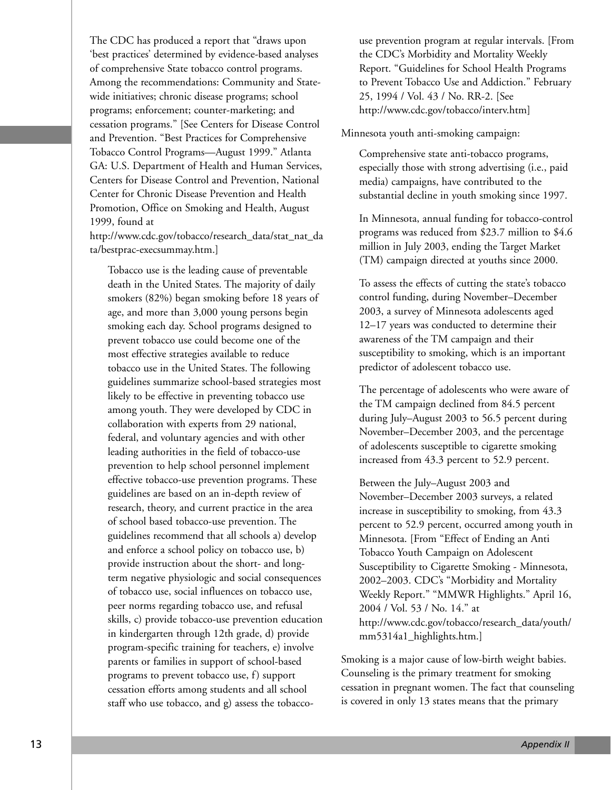The CDC has produced a report that "draws upon 'best practices' determined by evidence-based analyses of comprehensive State tobacco control programs. Among the recommendations: Community and Statewide initiatives; chronic disease programs; school programs; enforcement; counter-marketing; and cessation programs." [See Centers for Disease Control and Prevention. "Best Practices for Comprehensive Tobacco Control Programs—August 1999." Atlanta GA: U.S. Department of Health and Human Services, Centers for Disease Control and Prevention, National Center for Chronic Disease Prevention and Health Promotion, Office on Smoking and Health, August 1999, found at

http://www.cdc.gov/tobacco/research\_data/stat\_nat\_da ta/bestprac-execsummay.htm.]

Tobacco use is the leading cause of preventable death in the United States. The majority of daily smokers (82%) began smoking before 18 years of age, and more than 3,000 young persons begin smoking each day. School programs designed to prevent tobacco use could become one of the most effective strategies available to reduce tobacco use in the United States. The following guidelines summarize school-based strategies most likely to be effective in preventing tobacco use among youth. They were developed by CDC in collaboration with experts from 29 national, federal, and voluntary agencies and with other leading authorities in the field of tobacco-use prevention to help school personnel implement effective tobacco-use prevention programs. These guidelines are based on an in-depth review of research, theory, and current practice in the area of school based tobacco-use prevention. The guidelines recommend that all schools a) develop and enforce a school policy on tobacco use, b) provide instruction about the short- and longterm negative physiologic and social consequences of tobacco use, social influences on tobacco use, peer norms regarding tobacco use, and refusal skills, c) provide tobacco-use prevention education in kindergarten through 12th grade, d) provide program-specific training for teachers, e) involve parents or families in support of school-based programs to prevent tobacco use, f) support cessation efforts among students and all school staff who use tobacco, and g) assess the tobacco-

use prevention program at regular intervals. [From the CDC's Morbidity and Mortality Weekly Report. "Guidelines for School Health Programs to Prevent Tobacco Use and Addiction." February 25, 1994 / Vol. 43 / No. RR-2. [See http://www.cdc.gov/tobacco/interv.htm]

Minnesota youth anti-smoking campaign:

Comprehensive state anti-tobacco programs, especially those with strong advertising (i.e., paid media) campaigns, have contributed to the substantial decline in youth smoking since 1997.

In Minnesota, annual funding for tobacco-control programs was reduced from \$23.7 million to \$4.6 million in July 2003, ending the Target Market (TM) campaign directed at youths since 2000.

To assess the effects of cutting the state's tobacco control funding, during November–December 2003, a survey of Minnesota adolescents aged 12–17 years was conducted to determine their awareness of the TM campaign and their susceptibility to smoking, which is an important predictor of adolescent tobacco use.

The percentage of adolescents who were aware of the TM campaign declined from 84.5 percent during July–August 2003 to 56.5 percent during November–December 2003, and the percentage of adolescents susceptible to cigarette smoking increased from 43.3 percent to 52.9 percent.

Between the July–August 2003 and November–December 2003 surveys, a related increase in susceptibility to smoking, from 43.3 percent to 52.9 percent, occurred among youth in Minnesota. [From "Effect of Ending an Anti Tobacco Youth Campaign on Adolescent Susceptibility to Cigarette Smoking - Minnesota, 2002–2003. CDC's "Morbidity and Mortality Weekly Report." "MMWR Highlights." April 16, 2004 / Vol. 53 / No. 14." at http://www.cdc.gov/tobacco/research\_data/youth/ mm5314a1\_highlights.htm.]

Smoking is a major cause of low-birth weight babies. Counseling is the primary treatment for smoking cessation in pregnant women. The fact that counseling is covered in only 13 states means that the primary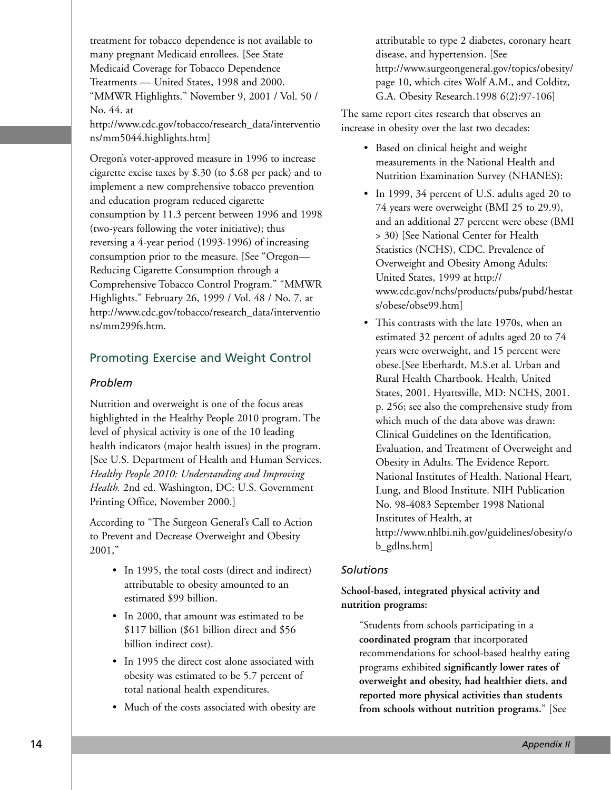treatment for tobacco dependence is not available to many pregnant Medicaid enrollees. [See State Medicaid Coverage for Tobacco Dependence Treatments — United States, 1998 and 2000. "MMWR Highlights." November 9, 2001 / Vol. 50 / No. 44. at http://www.cdc.gov/tobacco/research\_data/interventio ns/mm5044.highlights.htm]

Oregon's voter-approved measure in 1996 to increase cigarette excise taxes by \$.30 (to \$.68 per pack) and to implement a new comprehensive tobacco prevention and education program reduced cigarette consumption by 11.3 percent between 1996 and 1998 (two-years following the voter initiative); thus reversing a 4-year period (1993-1996) of increasing consumption prior to the measure. [See "Oregon— Reducing Cigarette Consumption through a Comprehensive Tobacco Control Program." "MMWR Highlights." February 26, 1999 / Vol. 48 / No. 7. at http://www.cdc.gov/tobacco/research\_data/interventio ns/mm299fs.htm.

# Promoting Exercise and Weight Control

#### *Problem*

Nutrition and overweight is one of the focus areas highlighted in the Healthy People 2010 program. The level of physical activity is one of the 10 leading health indicators (major health issues) in the program. [See U.S. Department of Health and Human Services. *Healthy People 2010: Understanding and Improving Health.* 2nd ed. Washington, DC: U.S. Government Printing Office, November 2000.]

According to "The Surgeon General's Call to Action to Prevent and Decrease Overweight and Obesity 2001,"

- In 1995, the total costs (direct and indirect) attributable to obesity amounted to an estimated \$99 billion.
- In 2000, that amount was estimated to be \$117 billion (\$61 billion direct and \$56 billion indirect cost).
- In 1995 the direct cost alone associated with obesity was estimated to be 5.7 percent of total national health expenditures.
- Much of the costs associated with obesity are

attributable to type 2 diabetes, coronary heart disease, and hypertension. [See http://www.surgeongeneral.gov/topics/obesity/ page 10, which cites Wolf A.M., and Colditz, G.A. Obesity Research.1998 6(2):97-106]

The same report cites research that observes an increase in obesity over the last two decades:

- Based on clinical height and weight measurements in the National Health and Nutrition Examination Survey (NHANES):
- In 1999, 34 percent of U.S. adults aged 20 to 74 years were overweight (BMI 25 to 29.9), and an additional 27 percent were obese (BMI > 30) [See National Center for Health Statistics (NCHS), CDC. Prevalence of Overweight and Obesity Among Adults: United States, 1999 at http:// www.cdc.gov/nchs/products/pubs/pubd/hestat s/obese/obse99.htm]
- This contrasts with the late 1970s, when an estimated 32 percent of adults aged 20 to 74 years were overweight, and 15 percent were obese.[See Eberhardt, M.S.et al. Urban and Rural Health Chartbook. Health, United States, 2001. Hyattsville, MD: NCHS, 2001. p. 256; see also the comprehensive study from which much of the data above was drawn: Clinical Guidelines on the Identification, Evaluation, and Treatment of Overweight and Obesity in Adults. The Evidence Report. National Institutes of Health. National Heart, Lung, and Blood Institute. NIH Publication No. 98-4083 September 1998 National Institutes of Health, at http://www.nhlbi.nih.gov/guidelines/obesity/o b\_gdlns.htm]

#### *Solutions*

# **School-based, integrated physical activity and nutrition programs:**

"Students from schools participating in a **coordinated program** that incorporated recommendations for school-based healthy eating programs exhibited **significantly lower rates of overweight and obesity, had healthier diets, and reported more physical activities than students from schools without nutrition programs.**" [See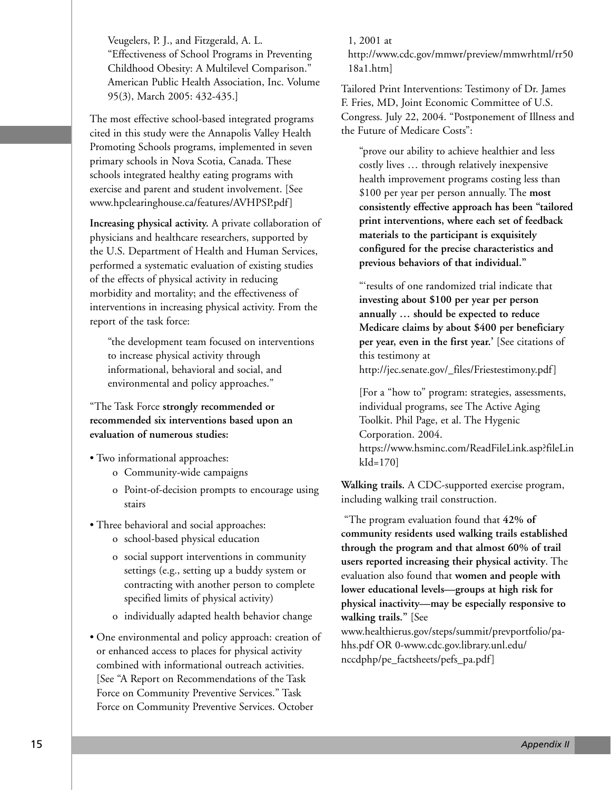Veugelers, P. J., and Fitzgerald, A. L. "Effectiveness of School Programs in Preventing Childhood Obesity: A Multilevel Comparison." American Public Health Association, Inc. Volume 95(3), March 2005: 432-435.]

The most effective school-based integrated programs cited in this study were the Annapolis Valley Health Promoting Schools programs, implemented in seven primary schools in Nova Scotia, Canada. These schools integrated healthy eating programs with exercise and parent and student involvement. [See www.hpclearinghouse.ca/features/AVHPSP.pdf]

**Increasing physical activity.** A private collaboration of physicians and healthcare researchers, supported by the U.S. Department of Health and Human Services, performed a systematic evaluation of existing studies of the effects of physical activity in reducing morbidity and mortality; and the effectiveness of interventions in increasing physical activity. From the report of the task force:

"the development team focused on interventions to increase physical activity through informational, behavioral and social, and environmental and policy approaches."

"The Task Force **strongly recommended or recommended six interventions based upon an evaluation of numerous studies:** 

- Two informational approaches:
	- o Community-wide campaigns
	- o Point-of-decision prompts to encourage using stairs
- Three behavioral and social approaches:
	- o school-based physical education
	- o social support interventions in community settings (e.g., setting up a buddy system or contracting with another person to complete specified limits of physical activity)
	- o individually adapted health behavior change

• One environmental and policy approach: creation of or enhanced access to places for physical activity combined with informational outreach activities. [See "A Report on Recommendations of the Task Force on Community Preventive Services." Task Force on Community Preventive Services. October

1, 2001 at http://www.cdc.gov/mmwr/preview/mmwrhtml/rr50 18a1.htm]

Tailored Print Interventions: Testimony of Dr. James F. Fries, MD, Joint Economic Committee of U.S. Congress. July 22, 2004. "Postponement of Illness and the Future of Medicare Costs":

"prove our ability to achieve healthier and less costly lives … through relatively inexpensive health improvement programs costing less than \$100 per year per person annually. The **most consistently effective approach has been "tailored print interventions, where each set of feedback materials to the participant is exquisitely configured for the precise characteristics and previous behaviors of that individual."**

"'results of one randomized trial indicate that **investing about \$100 per year per person annually … should be expected to reduce Medicare claims by about \$400 per beneficiary per year, even in the first year.'** [See citations of this testimony at

http://jec.senate.gov/\_files/Friestestimony.pdf]

[For a "how to" program: strategies, assessments, individual programs, see The Active Aging Toolkit. Phil Page, et al. The Hygenic Corporation. 2004. https://www.hsminc.com/ReadFileLink.asp?fileLin kId=170]

**Walking trails.** A CDC-supported exercise program, including walking trail construction.

"The program evaluation found that **42% of community residents used walking trails established through the program and that almost 60% of trail users reported increasing their physical activity**. The evaluation also found that **women and people with lower educational levels—groups at high risk for physical inactivity—may be especially responsive to walking trails."** [See www.healthierus.gov/steps/summit/prevportfolio/pahhs.pdf OR 0-www.cdc.gov.library.unl.edu/

nccdphp/pe\_factsheets/pefs\_pa.pdf]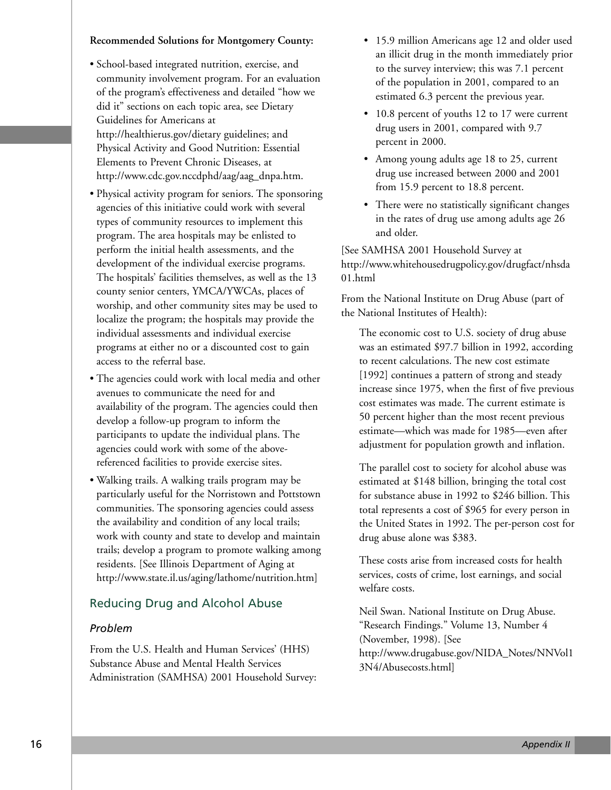#### **Recommended Solutions for Montgomery County:**

- School-based integrated nutrition, exercise, and community involvement program. For an evaluation of the program's effectiveness and detailed "how we did it" sections on each topic area, see Dietary Guidelines for Americans at http://healthierus.gov/dietary guidelines; and Physical Activity and Good Nutrition: Essential Elements to Prevent Chronic Diseases, at http://www.cdc.gov.nccdphd/aag/aag\_dnpa.htm.
- Physical activity program for seniors. The sponsoring agencies of this initiative could work with several types of community resources to implement this program. The area hospitals may be enlisted to perform the initial health assessments, and the development of the individual exercise programs. The hospitals' facilities themselves, as well as the 13 county senior centers, YMCA/YWCAs, places of worship, and other community sites may be used to localize the program; the hospitals may provide the individual assessments and individual exercise programs at either no or a discounted cost to gain access to the referral base.
- The agencies could work with local media and other avenues to communicate the need for and availability of the program. The agencies could then develop a follow-up program to inform the participants to update the individual plans. The agencies could work with some of the abovereferenced facilities to provide exercise sites.
- Walking trails. A walking trails program may be particularly useful for the Norristown and Pottstown communities. The sponsoring agencies could assess the availability and condition of any local trails; work with county and state to develop and maintain trails; develop a program to promote walking among residents. [See Illinois Department of Aging at http://www.state.il.us/aging/lathome/nutrition.htm]

# Reducing Drug and Alcohol Abuse

#### *Problem*

From the U.S. Health and Human Services' (HHS) Substance Abuse and Mental Health Services Administration (SAMHSA) 2001 Household Survey:

- 15.9 million Americans age 12 and older used an illicit drug in the month immediately prior to the survey interview; this was 7.1 percent of the population in 2001, compared to an estimated 6.3 percent the previous year.
- 10.8 percent of youths 12 to 17 were current drug users in 2001, compared with 9.7 percent in 2000.
- Among young adults age 18 to 25, current drug use increased between 2000 and 2001 from 15.9 percent to 18.8 percent.
- There were no statistically significant changes in the rates of drug use among adults age 26 and older.

[See SAMHSA 2001 Household Survey at http://www.whitehousedrugpolicy.gov/drugfact/nhsda 01.html

From the National Institute on Drug Abuse (part of the National Institutes of Health):

The economic cost to U.S. society of drug abuse was an estimated \$97.7 billion in 1992, according to recent calculations. The new cost estimate [1992] continues a pattern of strong and steady increase since 1975, when the first of five previous cost estimates was made. The current estimate is 50 percent higher than the most recent previous estimate—which was made for 1985—even after adjustment for population growth and inflation.

The parallel cost to society for alcohol abuse was estimated at \$148 billion, bringing the total cost for substance abuse in 1992 to \$246 billion. This total represents a cost of \$965 for every person in the United States in 1992. The per-person cost for drug abuse alone was \$383.

These costs arise from increased costs for health services, costs of crime, lost earnings, and social welfare costs.

Neil Swan. National Institute on Drug Abuse. "Research Findings." Volume 13, Number 4 (November, 1998). [See http://www.drugabuse.gov/NIDA\_Notes/NNVol1 3N4/Abusecosts.html]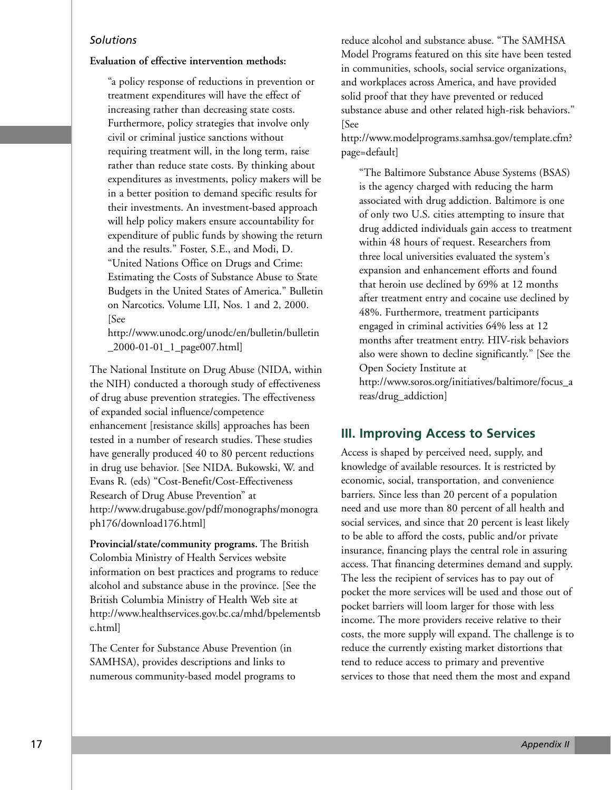#### *Solutions*

#### **Evaluation of effective intervention methods:**

"a policy response of reductions in prevention or treatment expenditures will have the effect of increasing rather than decreasing state costs. Furthermore, policy strategies that involve only civil or criminal justice sanctions without requiring treatment will, in the long term, raise rather than reduce state costs. By thinking about expenditures as investments, policy makers will be in a better position to demand specific results for their investments. An investment-based approach will help policy makers ensure accountability for expenditure of public funds by showing the return and the results." Foster, S.E., and Modi, D. "United Nations Office on Drugs and Crime: Estimating the Costs of Substance Abuse to State Budgets in the United States of America." Bulletin on Narcotics. Volume LII, Nos. 1 and 2, 2000. [See

http://www.unodc.org/unodc/en/bulletin/bulletin \_2000-01-01\_1\_page007.html]

The National Institute on Drug Abuse (NIDA, within the NIH) conducted a thorough study of effectiveness of drug abuse prevention strategies. The effectiveness of expanded social influence/competence enhancement [resistance skills] approaches has been tested in a number of research studies. These studies have generally produced 40 to 80 percent reductions in drug use behavior. [See NIDA. Bukowski, W. and Evans R. (eds) "Cost-Benefit/Cost-Effectiveness Research of Drug Abuse Prevention" at http://www.drugabuse.gov/pdf/monographs/monogra ph176/download176.html]

**Provincial/state/community programs.** The British Colombia Ministry of Health Services website information on best practices and programs to reduce alcohol and substance abuse in the province. [See the British Columbia Ministry of Health Web site at http://www.healthservices.gov.bc.ca/mhd/bpelementsb c.html]

The Center for Substance Abuse Prevention (in SAMHSA), provides descriptions and links to numerous community-based model programs to

reduce alcohol and substance abuse. "The SAMHSA Model Programs featured on this site have been tested in communities, schools, social service organizations, and workplaces across America, and have provided solid proof that they have prevented or reduced substance abuse and other related high-risk behaviors." [See

http://www.modelprograms.samhsa.gov/template.cfm? page=default]

"The Baltimore Substance Abuse Systems (BSAS) is the agency charged with reducing the harm associated with drug addiction. Baltimore is one of only two U.S. cities attempting to insure that drug addicted individuals gain access to treatment within 48 hours of request. Researchers from three local universities evaluated the system's expansion and enhancement efforts and found that heroin use declined by 69% at 12 months after treatment entry and cocaine use declined by 48%. Furthermore, treatment participants engaged in criminal activities 64% less at 12 months after treatment entry. HIV-risk behaviors also were shown to decline significantly." [See the Open Society Institute at

http://www.soros.org/initiatives/baltimore/focus\_a reas/drug\_addiction]

# **III. Improving Access to Services**

Access is shaped by perceived need, supply, and knowledge of available resources. It is restricted by economic, social, transportation, and convenience barriers. Since less than 20 percent of a population need and use more than 80 percent of all health and social services, and since that 20 percent is least likely to be able to afford the costs, public and/or private insurance, financing plays the central role in assuring access. That financing determines demand and supply. The less the recipient of services has to pay out of pocket the more services will be used and those out of pocket barriers will loom larger for those with less income. The more providers receive relative to their costs, the more supply will expand. The challenge is to reduce the currently existing market distortions that tend to reduce access to primary and preventive services to those that need them the most and expand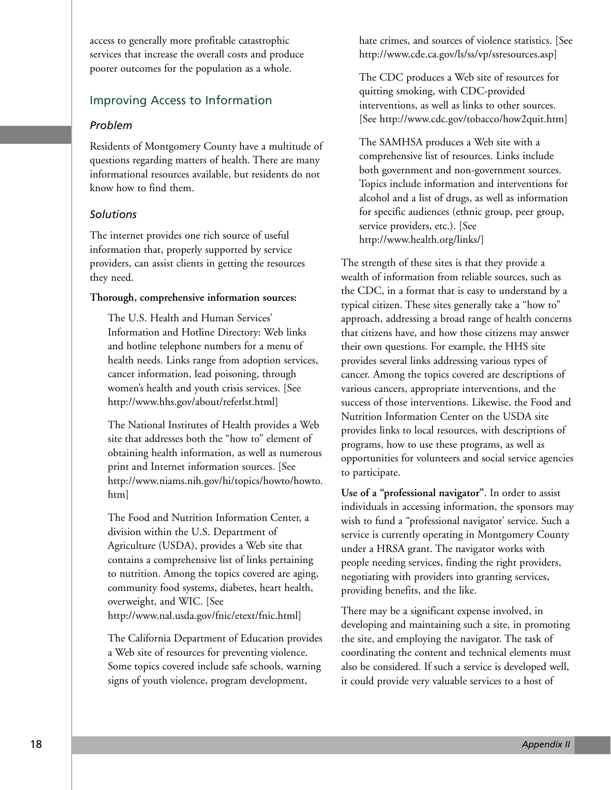access to generally more profitable catastrophic services that increase the overall costs and produce poorer outcomes for the population as a whole.

# Improving Access to Information

# *Problem*

Residents of Montgomery County have a multitude of questions regarding matters of health. There are many informational resources available, but residents do not know how to find them.

# *Solutions*

The internet provides one rich source of useful information that, properly supported by service providers, can assist clients in getting the resources they need.

#### **Thorough, comprehensive information sources:**

The U.S. Health and Human Services' Information and Hotline Directory: Web links and hotline telephone numbers for a menu of health needs. Links range from adoption services, cancer information, lead poisoning, through women's health and youth crisis services. [See http://www.hhs.gov/about/referlst.html]

The National Institutes of Health provides a Web site that addresses both the "how to" element of obtaining health information, as well as numerous print and Internet information sources. [See http://www.niams.nih.gov/hi/topics/howto/howto. htm]

The Food and Nutrition Information Center, a division within the U.S. Department of Agriculture (USDA), provides a Web site that contains a comprehensive list of links pertaining to nutrition. Among the topics covered are aging, community food systems, diabetes, heart health, overweight, and WIC. [See http://www.nal.usda.gov/fnic/etext/fnic.html]

The California Department of Education provides a Web site of resources for preventing violence. Some topics covered include safe schools, warning signs of youth violence, program development,

hate crimes, and sources of violence statistics. [See http://www.cde.ca.gov/ls/ss/vp/ssresources.asp]

The CDC produces a Web site of resources for quitting smoking, with CDC-provided interventions, as well as links to other sources. [See http://www.cdc.gov/tobacco/how2quit.htm]

The SAMHSA produces a Web site with a comprehensive list of resources. Links include both government and non-government sources. Topics include information and interventions for alcohol and a list of drugs, as well as information for specific audiences (ethnic group, peer group, service providers, etc.). [See http://www.health.org/links/]

The strength of these sites is that they provide a wealth of information from reliable sources, such as the CDC, in a format that is easy to understand by a typical citizen. These sites generally take a "how to" approach, addressing a broad range of health concerns that citizens have, and how those citizens may answer their own questions. For example, the HHS site provides several links addressing various types of cancer. Among the topics covered are descriptions of various cancers, appropriate interventions, and the success of those interventions. Likewise, the Food and Nutrition Information Center on the USDA site provides links to local resources, with descriptions of programs, how to use these programs, as well as opportunities for volunteers and social service agencies to participate.

**Use of a "professional navigator"**. In order to assist individuals in accessing information, the sponsors may wish to fund a "professional navigator' service. Such a service is currently operating in Montgomery County under a HRSA grant. The navigator works with people needing services, finding the right providers, negotiating with providers into granting services, providing benefits, and the like.

There may be a significant expense involved, in developing and maintaining such a site, in promoting the site, and employing the navigator. The task of coordinating the content and technical elements must also be considered. If such a service is developed well, it could provide very valuable services to a host of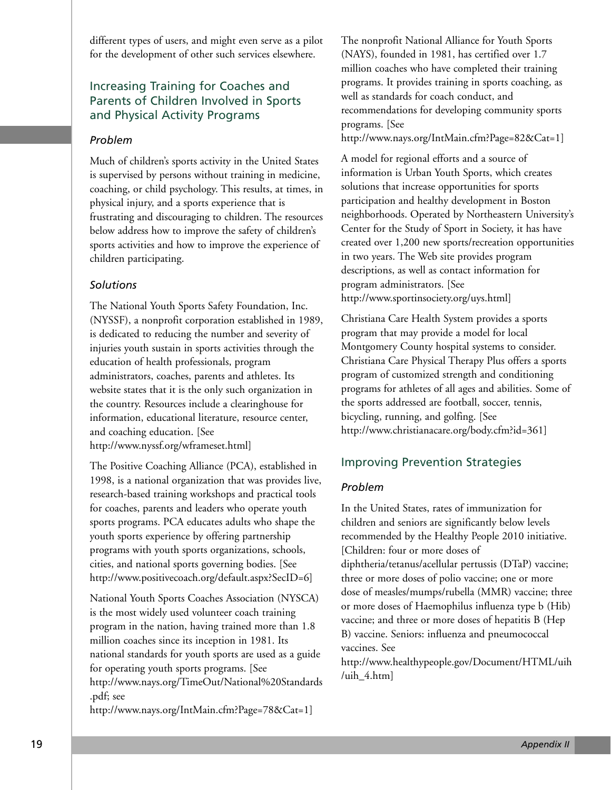different types of users, and might even serve as a pilot for the development of other such services elsewhere.

# Increasing Training for Coaches and Parents of Children Involved in Sports and Physical Activity Programs

# *Problem*

Much of children's sports activity in the United States is supervised by persons without training in medicine, coaching, or child psychology. This results, at times, in physical injury, and a sports experience that is frustrating and discouraging to children. The resources below address how to improve the safety of children's sports activities and how to improve the experience of children participating.

# *Solutions*

The National Youth Sports Safety Foundation, Inc. (NYSSF), a nonprofit corporation established in 1989, is dedicated to reducing the number and severity of injuries youth sustain in sports activities through the education of health professionals, program administrators, coaches, parents and athletes. Its website states that it is the only such organization in the country. Resources include a clearinghouse for information, educational literature, resource center, and coaching education. [See http://www.nyssf.org/wframeset.html]

The Positive Coaching Alliance (PCA), established in 1998, is a national organization that was provides live, research-based training workshops and practical tools for coaches, parents and leaders who operate youth sports programs. PCA educates adults who shape the youth sports experience by offering partnership programs with youth sports organizations, schools, cities, and national sports governing bodies. [See http://www.positivecoach.org/default.aspx?SecID=6]

National Youth Sports Coaches Association (NYSCA) is the most widely used volunteer coach training program in the nation, having trained more than 1.8 million coaches since its inception in 1981. Its national standards for youth sports are used as a guide for operating youth sports programs. [See http://www.nays.org/TimeOut/National%20Standards .pdf; see

http://www.nays.org/IntMain.cfm?Page=78&Cat=1]

The nonprofit National Alliance for Youth Sports (NAYS), founded in 1981, has certified over 1.7 million coaches who have completed their training programs. It provides training in sports coaching, as well as standards for coach conduct, and recommendations for developing community sports programs. [See

http://www.nays.org/IntMain.cfm?Page=82&Cat=1]

A model for regional efforts and a source of information is Urban Youth Sports, which creates solutions that increase opportunities for sports participation and healthy development in Boston neighborhoods. Operated by Northeastern University's Center for the Study of Sport in Society, it has have created over 1,200 new sports/recreation opportunities in two years. The Web site provides program descriptions, as well as contact information for program administrators. [See http://www.sportinsociety.org/uys.html]

Christiana Care Health System provides a sports program that may provide a model for local Montgomery County hospital systems to consider. Christiana Care Physical Therapy Plus offers a sports program of customized strength and conditioning programs for athletes of all ages and abilities. Some of the sports addressed are football, soccer, tennis, bicycling, running, and golfing. [See http://www.christianacare.org/body.cfm?id=361]

# Improving Prevention Strategies

# *Problem*

In the United States, rates of immunization for children and seniors are significantly below levels recommended by the Healthy People 2010 initiative. [Children: four or more doses of diphtheria/tetanus/acellular pertussis (DTaP) vaccine; three or more doses of polio vaccine; one or more dose of measles/mumps/rubella (MMR) vaccine; three or more doses of Haemophilus influenza type b (Hib) vaccine; and three or more doses of hepatitis B (Hep B) vaccine. Seniors: influenza and pneumococcal vaccines. See

http://www.healthypeople.gov/Document/HTML/uih /uih  $4.html$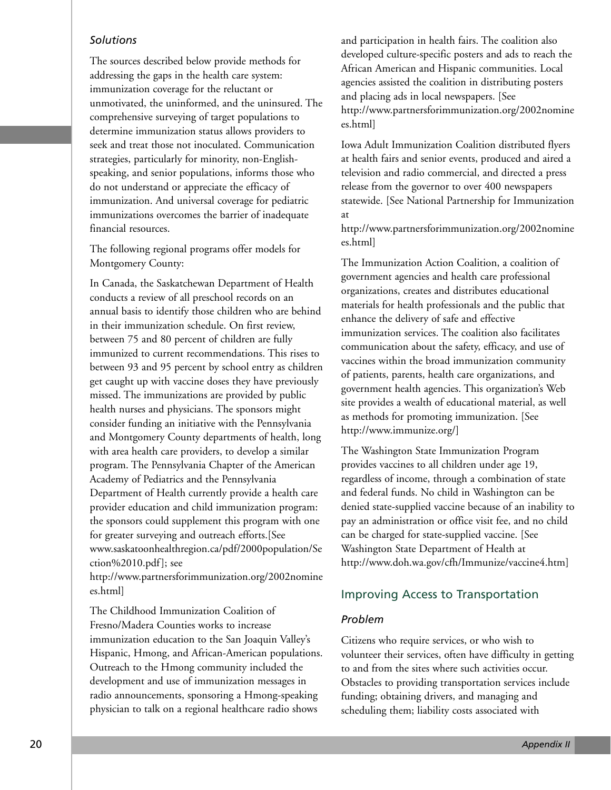#### *Solutions*

The sources described below provide methods for addressing the gaps in the health care system: immunization coverage for the reluctant or unmotivated, the uninformed, and the uninsured. The comprehensive surveying of target populations to determine immunization status allows providers to seek and treat those not inoculated. Communication strategies, particularly for minority, non-Englishspeaking, and senior populations, informs those who do not understand or appreciate the efficacy of immunization. And universal coverage for pediatric immunizations overcomes the barrier of inadequate financial resources.

The following regional programs offer models for Montgomery County:

In Canada, the Saskatchewan Department of Health conducts a review of all preschool records on an annual basis to identify those children who are behind in their immunization schedule. On first review, between 75 and 80 percent of children are fully immunized to current recommendations. This rises to between 93 and 95 percent by school entry as children get caught up with vaccine doses they have previously missed. The immunizations are provided by public health nurses and physicians. The sponsors might consider funding an initiative with the Pennsylvania and Montgomery County departments of health, long with area health care providers, to develop a similar program. The Pennsylvania Chapter of the American Academy of Pediatrics and the Pennsylvania Department of Health currently provide a health care provider education and child immunization program: the sponsors could supplement this program with one for greater surveying and outreach efforts.[See www.saskatoonhealthregion.ca/pdf/2000population/Se ction%2010.pdf]; see

http://www.partnersforimmunization.org/2002nomine es.html]

The Childhood Immunization Coalition of Fresno/Madera Counties works to increase immunization education to the San Joaquin Valley's Hispanic, Hmong, and African-American populations. Outreach to the Hmong community included the development and use of immunization messages in radio announcements, sponsoring a Hmong-speaking physician to talk on a regional healthcare radio shows

and participation in health fairs. The coalition also developed culture-specific posters and ads to reach the African American and Hispanic communities. Local agencies assisted the coalition in distributing posters and placing ads in local newspapers. [See http://www.partnersforimmunization.org/2002nomine es.html]

Iowa Adult Immunization Coalition distributed flyers at health fairs and senior events, produced and aired a television and radio commercial, and directed a press release from the governor to over 400 newspapers statewide. [See National Partnership for Immunization at

http://www.partnersforimmunization.org/2002nomine es.html]

The Immunization Action Coalition, a coalition of government agencies and health care professional organizations, creates and distributes educational materials for health professionals and the public that enhance the delivery of safe and effective immunization services. The coalition also facilitates communication about the safety, efficacy, and use of vaccines within the broad immunization community of patients, parents, health care organizations, and government health agencies. This organization's Web site provides a wealth of educational material, as well as methods for promoting immunization. [See http://www.immunize.org/]

The Washington State Immunization Program provides vaccines to all children under age 19, regardless of income, through a combination of state and federal funds. No child in Washington can be denied state-supplied vaccine because of an inability to pay an administration or office visit fee, and no child can be charged for state-supplied vaccine. [See Washington State Department of Health at http://www.doh.wa.gov/cfh/Immunize/vaccine4.htm]

#### Improving Access to Transportation

#### *Problem*

Citizens who require services, or who wish to volunteer their services, often have difficulty in getting to and from the sites where such activities occur. Obstacles to providing transportation services include funding; obtaining drivers, and managing and scheduling them; liability costs associated with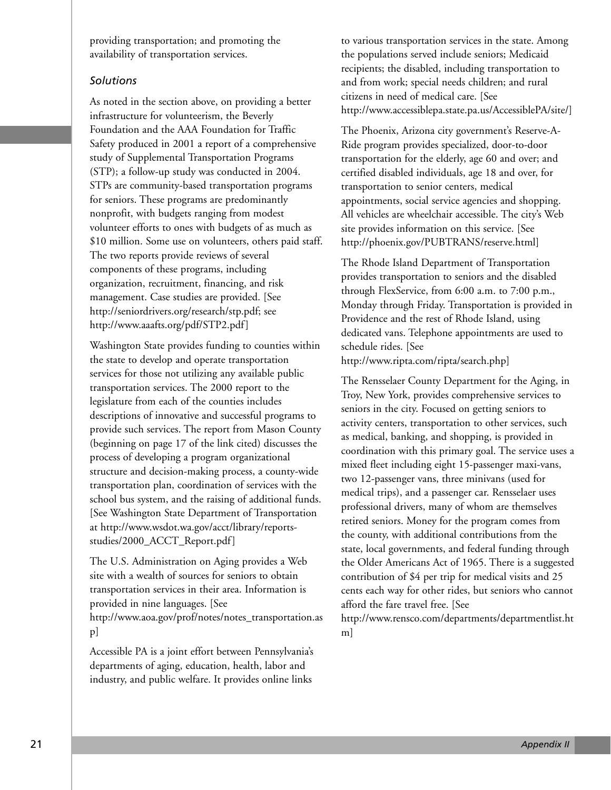providing transportation; and promoting the availability of transportation services.

#### *Solutions*

As noted in the section above, on providing a better infrastructure for volunteerism, the Beverly Foundation and the AAA Foundation for Traffic Safety produced in 2001 a report of a comprehensive study of Supplemental Transportation Programs (STP); a follow-up study was conducted in 2004. STPs are community-based transportation programs for seniors. These programs are predominantly nonprofit, with budgets ranging from modest volunteer efforts to ones with budgets of as much as \$10 million. Some use on volunteers, others paid staff. The two reports provide reviews of several components of these programs, including organization, recruitment, financing, and risk management. Case studies are provided. [See http://seniordrivers.org/research/stp.pdf; see http://www.aaafts.org/pdf/STP2.pdf]

Washington State provides funding to counties within the state to develop and operate transportation services for those not utilizing any available public transportation services. The 2000 report to the legislature from each of the counties includes descriptions of innovative and successful programs to provide such services. The report from Mason County (beginning on page 17 of the link cited) discusses the process of developing a program organizational structure and decision-making process, a county-wide transportation plan, coordination of services with the school bus system, and the raising of additional funds. [See Washington State Department of Transportation at http://www.wsdot.wa.gov/acct/library/reportsstudies/2000\_ACCT\_Report.pdf]

The U.S. Administration on Aging provides a Web site with a wealth of sources for seniors to obtain transportation services in their area. Information is provided in nine languages. [See http://www.aoa.gov/prof/notes/notes\_transportation.as p]

Accessible PA is a joint effort between Pennsylvania's departments of aging, education, health, labor and industry, and public welfare. It provides online links

to various transportation services in the state. Among the populations served include seniors; Medicaid recipients; the disabled, including transportation to and from work; special needs children; and rural citizens in need of medical care. [See http://www.accessiblepa.state.pa.us/AccessiblePA/site/]

The Phoenix, Arizona city government's Reserve-A-Ride program provides specialized, door-to-door transportation for the elderly, age 60 and over; and certified disabled individuals, age 18 and over, for transportation to senior centers, medical appointments, social service agencies and shopping. All vehicles are wheelchair accessible. The city's Web site provides information on this service. [See http://phoenix.gov/PUBTRANS/reserve.html]

The Rhode Island Department of Transportation provides transportation to seniors and the disabled through FlexService, from 6:00 a.m. to 7:00 p.m., Monday through Friday. Transportation is provided in Providence and the rest of Rhode Island, using dedicated vans. Telephone appointments are used to schedule rides. [See

http://www.ripta.com/ripta/search.php]

The Rensselaer County Department for the Aging, in Troy, New York, provides comprehensive services to seniors in the city. Focused on getting seniors to activity centers, transportation to other services, such as medical, banking, and shopping, is provided in coordination with this primary goal. The service uses a mixed fleet including eight 15-passenger maxi-vans, two 12-passenger vans, three minivans (used for medical trips), and a passenger car. Rensselaer uses professional drivers, many of whom are themselves retired seniors. Money for the program comes from the county, with additional contributions from the state, local governments, and federal funding through the Older Americans Act of 1965. There is a suggested contribution of \$4 per trip for medical visits and 25 cents each way for other rides, but seniors who cannot afford the fare travel free. [See

http://www.rensco.com/departments/departmentlist.ht m]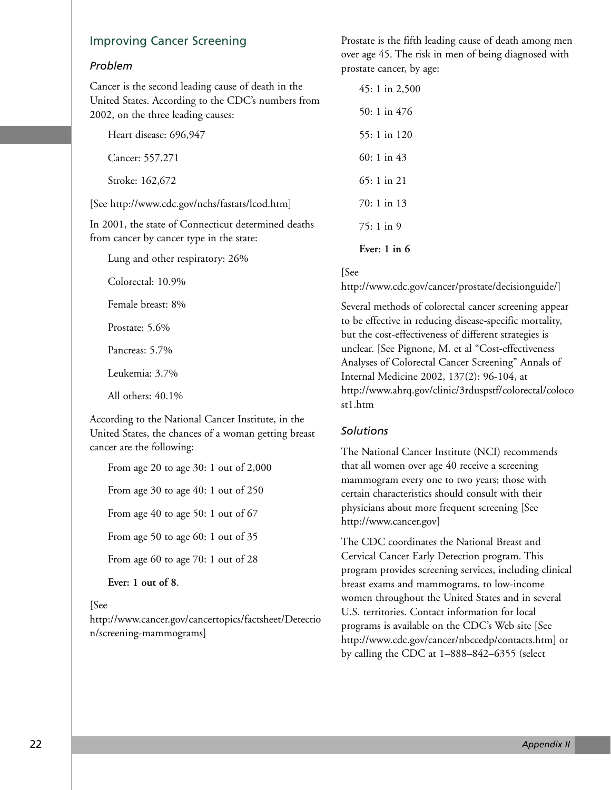#### Improving Cancer Screening

Colorectal: 10.9%

Female breast: 8%

Prostate: 5.6%

Pancreas: 5.7%

Leukemia: 3.7%

All others: 40.1%

cancer are the following:

**Ever: 1 out of 8**.

n/screening-mammograms]

According to the National Cancer Institute, in the United States, the chances of a woman getting breast

From age 20 to age 30: 1 out of 2,000

From age 30 to age 40: 1 out of 250

From age 40 to age 50: 1 out of 67

From age 50 to age 60: 1 out of 35

From age 60 to age 70: 1 out of 28

#### *Problem*

Cancer is the second leading cause of death in the United States. According to the CDC's numbers from 2002, on the three leading causes:

| Lung and other respiratory: 26%                     | Ever: $1$ in $6$ |  |
|-----------------------------------------------------|------------------|--|
| from cancer by cancer type in the state:            |                  |  |
| In 2001, the state of Connecticut determined deaths | $75:1$ in 9      |  |
| [See http://www.cdc.gov/nchs/fastats/lcod.htm]      | 70: 1 in 13      |  |
| Stroke: 162,672                                     | $65:1$ in 21     |  |
| Cancer: 557,271                                     | 60: 1 in $43$    |  |
| Heart disease: 696,947                              | 55: 1 in 120     |  |

[See

http://www.cdc.gov/cancer/prostate/decisionguide/]

Several methods of colorectal cancer screening appear to be effective in reducing disease-specific mortality, but the cost-effectiveness of different strategies is unclear. [See Pignone, M. et al "Cost-effectiveness Analyses of Colorectal Cancer Screening" Annals of Internal Medicine 2002, 137(2): 96-104, at http://www.ahrq.gov/clinic/3rduspstf/colorectal/coloco st1.htm

#### *Solutions*

The National Cancer Institute (NCI) recommends that all women over age 40 receive a screening mammogram every one to two years; those with certain characteristics should consult with their physicians about more frequent screening [See http://www.cancer.gov]

The CDC coordinates the National Breast and Cervical Cancer Early Detection program. This program provides screening services, including clinical breast exams and mammograms, to low-income women throughout the United States and in several U.S. territories. Contact information for local programs is available on the CDC's Web site [See http://www.cdc.gov/cancer/nbccedp/contacts.htm] or by calling the CDC at 1–888–842–6355 (select

[See http://www.cancer.gov/cancertopics/factsheet/Detectio Prostate is the fifth leading cause of death among men over age 45. The risk in men of being diagnosed with prostate cancer, by age:

45: 1 in 2,500

50: 1 in 476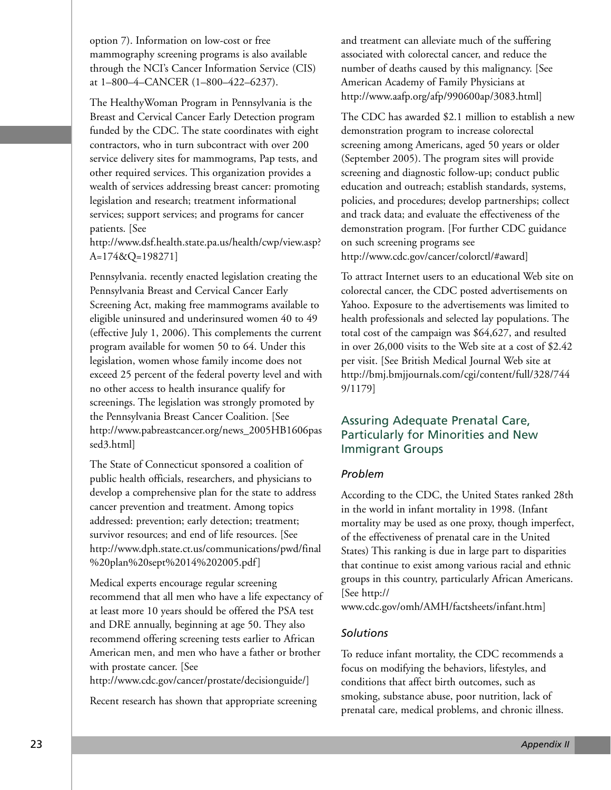option 7). Information on low-cost or free mammography screening programs is also available through the NCI's Cancer Information Service (CIS) at 1–800–4–CANCER (1–800–422–6237).

The HealthyWoman Program in Pennsylvania is the Breast and Cervical Cancer Early Detection program funded by the CDC. The state coordinates with eight contractors, who in turn subcontract with over 200 service delivery sites for mammograms, Pap tests, and other required services. This organization provides a wealth of services addressing breast cancer: promoting legislation and research; treatment informational services; support services; and programs for cancer patients. [See

http://www.dsf.health.state.pa.us/health/cwp/view.asp? A=174&Q=198271]

Pennsylvania. recently enacted legislation creating the Pennsylvania Breast and Cervical Cancer Early Screening Act, making free mammograms available to eligible uninsured and underinsured women 40 to 49 (effective July 1, 2006). This complements the current program available for women 50 to 64. Under this legislation, women whose family income does not exceed 25 percent of the federal poverty level and with no other access to health insurance qualify for screenings. The legislation was strongly promoted by the Pennsylvania Breast Cancer Coalition. [See http://www.pabreastcancer.org/news\_2005HB1606pas sed3.html]

The State of Connecticut sponsored a coalition of public health officials, researchers, and physicians to develop a comprehensive plan for the state to address cancer prevention and treatment. Among topics addressed: prevention; early detection; treatment; survivor resources; and end of life resources. [See http://www.dph.state.ct.us/communications/pwd/final %20plan%20sept%2014%202005.pdf]

Medical experts encourage regular screening recommend that all men who have a life expectancy of at least more 10 years should be offered the PSA test and DRE annually, beginning at age 50. They also recommend offering screening tests earlier to African American men, and men who have a father or brother with prostate cancer. [See

http://www.cdc.gov/cancer/prostate/decisionguide/]

Recent research has shown that appropriate screening

and treatment can alleviate much of the suffering associated with colorectal cancer, and reduce the number of deaths caused by this malignancy. [See American Academy of Family Physicians at http://www.aafp.org/afp/990600ap/3083.html]

The CDC has awarded \$2.1 million to establish a new demonstration program to increase colorectal screening among Americans, aged 50 years or older (September 2005). The program sites will provide screening and diagnostic follow-up; conduct public education and outreach; establish standards, systems, policies, and procedures; develop partnerships; collect and track data; and evaluate the effectiveness of the demonstration program. [For further CDC guidance on such screening programs see http://www.cdc.gov/cancer/colorctl/#award]

To attract Internet users to an educational Web site on colorectal cancer, the CDC posted advertisements on Yahoo. Exposure to the advertisements was limited to health professionals and selected lay populations. The total cost of the campaign was \$64,627, and resulted in over 26,000 visits to the Web site at a cost of \$2.42 per visit. [See British Medical Journal Web site at http://bmj.bmjjournals.com/cgi/content/full/328/744 9/1179]

# Assuring Adequate Prenatal Care, Particularly for Minorities and New Immigrant Groups

#### *Problem*

According to the CDC, the United States ranked 28th in the world in infant mortality in 1998. (Infant mortality may be used as one proxy, though imperfect, of the effectiveness of prenatal care in the United States) This ranking is due in large part to disparities that continue to exist among various racial and ethnic groups in this country, particularly African Americans. [See http://

www.cdc.gov/omh/AMH/factsheets/infant.htm]

#### *Solutions*

To reduce infant mortality, the CDC recommends a focus on modifying the behaviors, lifestyles, and conditions that affect birth outcomes, such as smoking, substance abuse, poor nutrition, lack of prenatal care, medical problems, and chronic illness.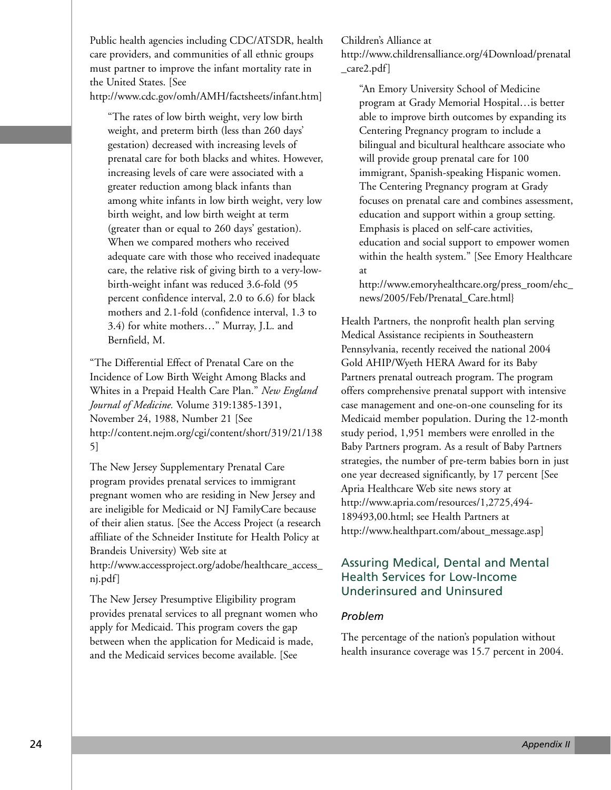Public health agencies including CDC/ATSDR, health care providers, and communities of all ethnic groups must partner to improve the infant mortality rate in the United States. [See http://www.cdc.gov/omh/AMH/factsheets/infant.htm]

"The rates of low birth weight, very low birth weight, and preterm birth (less than 260 days' gestation) decreased with increasing levels of prenatal care for both blacks and whites. However, increasing levels of care were associated with a greater reduction among black infants than among white infants in low birth weight, very low birth weight, and low birth weight at term (greater than or equal to 260 days' gestation). When we compared mothers who received adequate care with those who received inadequate care, the relative risk of giving birth to a very-lowbirth-weight infant was reduced 3.6-fold (95 percent confidence interval, 2.0 to 6.6) for black mothers and 2.1-fold (confidence interval, 1.3 to 3.4) for white mothers…" Murray, J.L. and Bernfield, M.

"The Differential Effect of Prenatal Care on the Incidence of Low Birth Weight Among Blacks and Whites in a Prepaid Health Care Plan." *New England Journal of Medicine.* Volume 319:1385-1391, November 24, 1988, Number 21 [See http://content.nejm.org/cgi/content/short/319/21/138 5]

The New Jersey Supplementary Prenatal Care program provides prenatal services to immigrant pregnant women who are residing in New Jersey and are ineligible for Medicaid or NJ FamilyCare because of their alien status. [See the Access Project (a research affiliate of the Schneider Institute for Health Policy at Brandeis University) Web site at http://www.accessproject.org/adobe/healthcare\_access\_ nj.pdf]

The New Jersey Presumptive Eligibility program provides prenatal services to all pregnant women who apply for Medicaid. This program covers the gap between when the application for Medicaid is made, and the Medicaid services become available. [See

Children's Alliance at

http://www.childrensalliance.org/4Download/prenatal \_care2.pdf]

"An Emory University School of Medicine program at Grady Memorial Hospital…is better able to improve birth outcomes by expanding its Centering Pregnancy program to include a bilingual and bicultural healthcare associate who will provide group prenatal care for 100 immigrant, Spanish-speaking Hispanic women. The Centering Pregnancy program at Grady focuses on prenatal care and combines assessment, education and support within a group setting. Emphasis is placed on self-care activities, education and social support to empower women within the health system." [See Emory Healthcare at

http://www.emoryhealthcare.org/press\_room/ehc\_ news/2005/Feb/Prenatal\_Care.html}

Health Partners, the nonprofit health plan serving Medical Assistance recipients in Southeastern Pennsylvania, recently received the national 2004 Gold AHIP/Wyeth HERA Award for its Baby Partners prenatal outreach program. The program offers comprehensive prenatal support with intensive case management and one-on-one counseling for its Medicaid member population. During the 12-month study period, 1,951 members were enrolled in the Baby Partners program. As a result of Baby Partners strategies, the number of pre-term babies born in just one year decreased significantly, by 17 percent [See Apria Healthcare Web site news story at http://www.apria.com/resources/1,2725,494- 189493,00.html; see Health Partners at http://www.healthpart.com/about\_message.asp]

# Assuring Medical, Dental and Mental Health Services for Low-Income Underinsured and Uninsured

#### *Problem*

The percentage of the nation's population without health insurance coverage was 15.7 percent in 2004.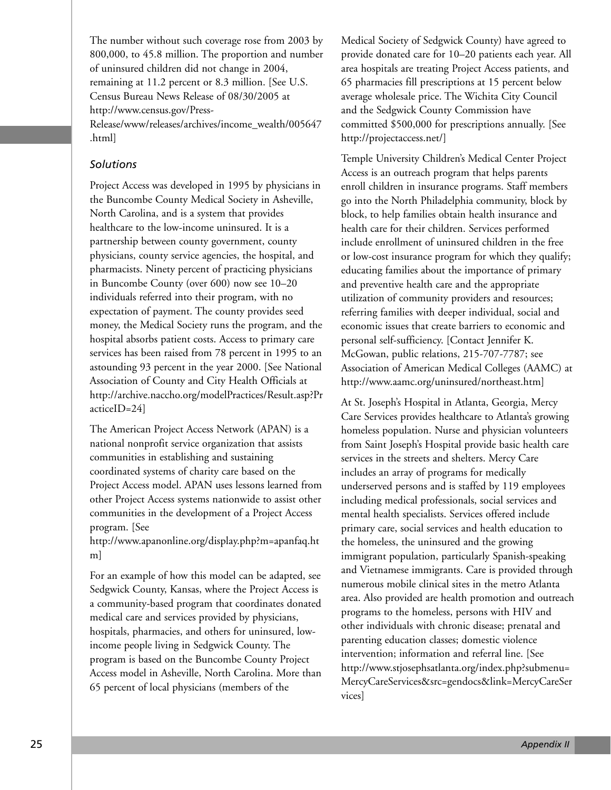The number without such coverage rose from 2003 by 800,000, to 45.8 million. The proportion and number of uninsured children did not change in 2004, remaining at 11.2 percent or 8.3 million. [See U.S. Census Bureau News Release of 08/30/2005 at http://www.census.gov/Press-

Release/www/releases/archives/income\_wealth/005647 .html]

#### *Solutions*

Project Access was developed in 1995 by physicians in the Buncombe County Medical Society in Asheville, North Carolina, and is a system that provides healthcare to the low-income uninsured. It is a partnership between county government, county physicians, county service agencies, the hospital, and pharmacists. Ninety percent of practicing physicians in Buncombe County (over 600) now see 10–20 individuals referred into their program, with no expectation of payment. The county provides seed money, the Medical Society runs the program, and the hospital absorbs patient costs. Access to primary care services has been raised from 78 percent in 1995 to an astounding 93 percent in the year 2000. [See National Association of County and City Health Officials at http://archive.naccho.org/modelPractices/Result.asp?Pr acticeID=24]

The American Project Access Network (APAN) is a national nonprofit service organization that assists communities in establishing and sustaining coordinated systems of charity care based on the Project Access model. APAN uses lessons learned from other Project Access systems nationwide to assist other communities in the development of a Project Access program. [See

http://www.apanonline.org/display.php?m=apanfaq.ht m]

For an example of how this model can be adapted, see Sedgwick County, Kansas, where the Project Access is a community-based program that coordinates donated medical care and services provided by physicians, hospitals, pharmacies, and others for uninsured, lowincome people living in Sedgwick County. The program is based on the Buncombe County Project Access model in Asheville, North Carolina. More than 65 percent of local physicians (members of the

Medical Society of Sedgwick County) have agreed to provide donated care for 10–20 patients each year. All area hospitals are treating Project Access patients, and 65 pharmacies fill prescriptions at 15 percent below average wholesale price. The Wichita City Council and the Sedgwick County Commission have committed \$500,000 for prescriptions annually. [See http://projectaccess.net/]

Temple University Children's Medical Center Project Access is an outreach program that helps parents enroll children in insurance programs. Staff members go into the North Philadelphia community, block by block, to help families obtain health insurance and health care for their children. Services performed include enrollment of uninsured children in the free or low-cost insurance program for which they qualify; educating families about the importance of primary and preventive health care and the appropriate utilization of community providers and resources; referring families with deeper individual, social and economic issues that create barriers to economic and personal self-sufficiency. [Contact Jennifer K. McGowan, public relations, 215-707-7787; see Association of American Medical Colleges (AAMC) at http://www.aamc.org/uninsured/northeast.htm]

At St. Joseph's Hospital in Atlanta, Georgia, Mercy Care Services provides healthcare to Atlanta's growing homeless population. Nurse and physician volunteers from Saint Joseph's Hospital provide basic health care services in the streets and shelters. Mercy Care includes an array of programs for medically underserved persons and is staffed by 119 employees including medical professionals, social services and mental health specialists. Services offered include primary care, social services and health education to the homeless, the uninsured and the growing immigrant population, particularly Spanish-speaking and Vietnamese immigrants. Care is provided through numerous mobile clinical sites in the metro Atlanta area. Also provided are health promotion and outreach programs to the homeless, persons with HIV and other individuals with chronic disease; prenatal and parenting education classes; domestic violence intervention; information and referral line. [See http://www.stjosephsatlanta.org/index.php?submenu= MercyCareServices&src=gendocs&link=MercyCareSer vices]